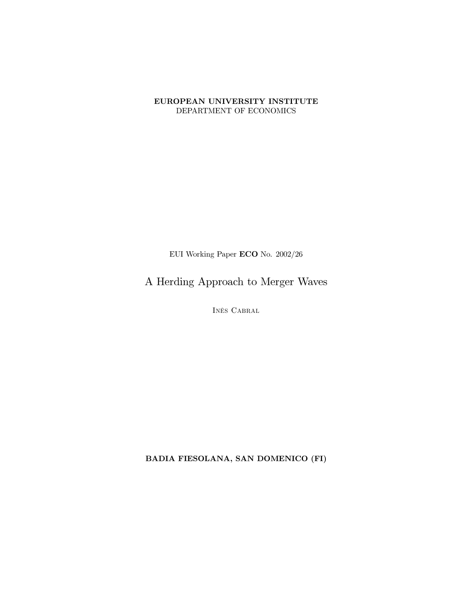#### EUROPEAN UNIVERSITY INSTITUTE DEPARTMENT OF ECONOMICS

EUI Working Paper ECO No.  $2002/26$ 

A Herding Approach to Merger Waves

INÊS CABRAL

BADIA FIESOLANA, SAN DOMENICO (FI)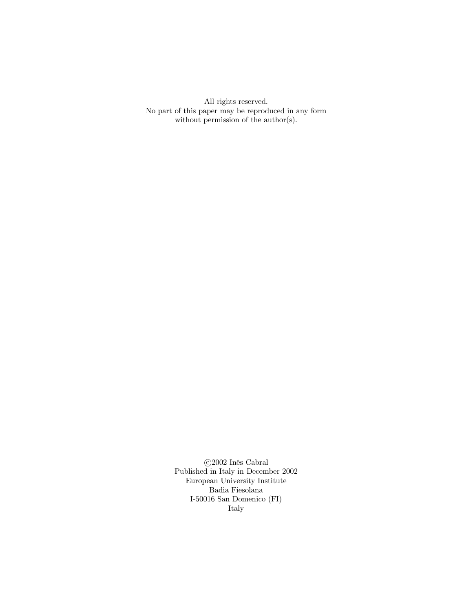All rights reserved. No part of this paper may be reproduced in any form without permission of the  $\text{author}(s)$ .

> $\odot$  2002 Inês Cabral Published in Italy in December 2002 European University Institute Badia Fiesolana I-50016 San Domenico $(\mathrm{FI})$ Italy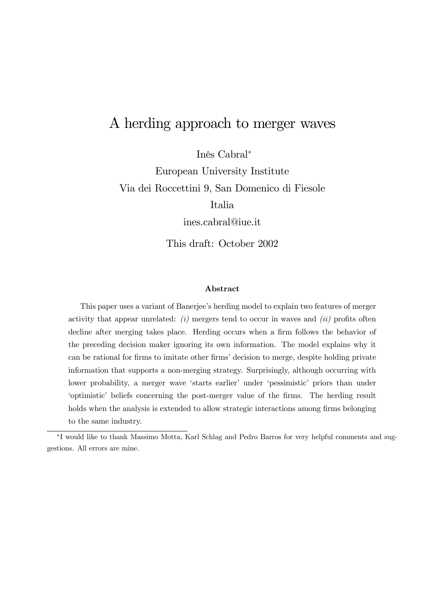# A herding approach to merger waves

Inês Cabral<sup>\*</sup> European University Institute Via dei Roccettini 9, San Domenico di Fiesole Italia

ines.cabral@iue.it

This draft: October 2002

#### Abstract

This paper uses a variant of Banerjee's herding model to explain two features of merger activity that appear unrelated:  $(i)$  mergers tend to occur in waves and  $(ii)$  profits often decline after merging takes place. Herding occurs when a firm follows the behavior of the preceding decision maker ignoring its own information. The model explains why it can be rational for firms to imitate other firms' decision to merge, despite holding private information that supports a non-merging strategy. Surprisingly, although occurring with lower probability, a merger wave 'starts earlier' under 'pessimistic' priors than under 'optimistic' beliefs concerning the post-merger value of the firms. The herding result holds when the analysis is extended to allow strategic interactions among firms belonging to the same industry.

<sup>¤</sup> I would like to thank Massimo Motta, Karl Schlag and Pedro Barros for very helpful comments and suggestions. All errors are mine.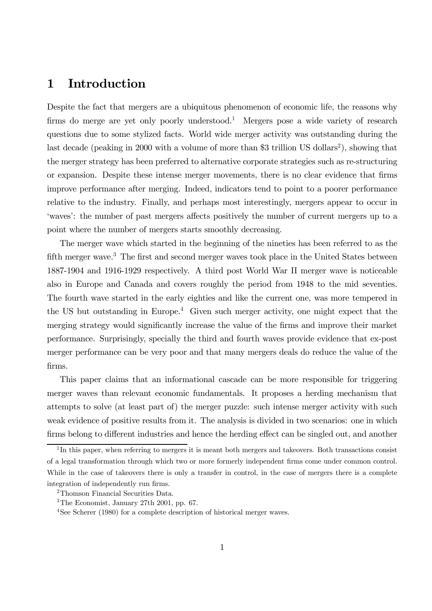# 1 Introduction

Despite the fact that mergers are a ubiquitous phenomenon of economic life, the reasons why firms do merge are yet only poorly understood.<sup>1</sup> Mergers pose a wide variety of research questions due to some stylized facts. World wide merger activity was outstanding during the last decade (peaking in 2000 with a volume of more than \$3 trillion US dollars<sup>2</sup>), showing that the merger strategy has been preferred to alternative corporate strategies such as re-structuring or expansion. Despite these intense merger movements, there is no clear evidence that firms improve performance after merging. Indeed, indicators tend to point to a poorer performance relative to the industry. Finally, and perhaps most interestingly, mergers appear to occur in 'waves': the number of past mergers affects positively the number of current mergers up to a point where the number of mergers starts smoothly decreasing.

The merger wave which started in the beginning of the nineties has been referred to as the fifth merger wave.<sup>3</sup> The first and second merger waves took place in the United States between 1887-1904 and 1916-1929 respectively. A third post World War II merger wave is noticeable also in Europe and Canada and covers roughly the period from 1948 to the mid seventies. The fourth wave started in the early eighties and like the current one, was more tempered in the US but outstanding in Europe. <sup>4</sup> Given such merger activity, one might expect that the merging strategy would significantly increase the value of the firms and improve their market performance. Surprisingly, specially the third and fourth waves provide evidence that ex-post merger performance can be very poor and that many mergers deals do reduce the value of the firms.

This paper claims that an informational cascade can be more responsible for triggering merger waves than relevant economic fundamentals. It proposes a herding mechanism that attempts to solve (at least part of) the merger puzzle: such intense merger activity with such weak evidence of positive results from it. The analysis is divided in two scenarios: one in which firms belong to different industries and hence the herding effect can be singled out, and another

<sup>&</sup>lt;sup>1</sup>In this paper, when referring to mergers it is meant both mergers and takeovers. Both transactions consist of a legal transformation through which two or more formerly independent firms come under common control. While in the case of takeovers there is only a transfer in control, in the case of mergers there is a complete integration of independently run firms.

<sup>2</sup>Thomson Financial Securities Data.

<sup>3</sup>The Economist, January 27th 2001, pp. 67.

<sup>4</sup>See Scherer (1980) for a complete description of historical merger waves.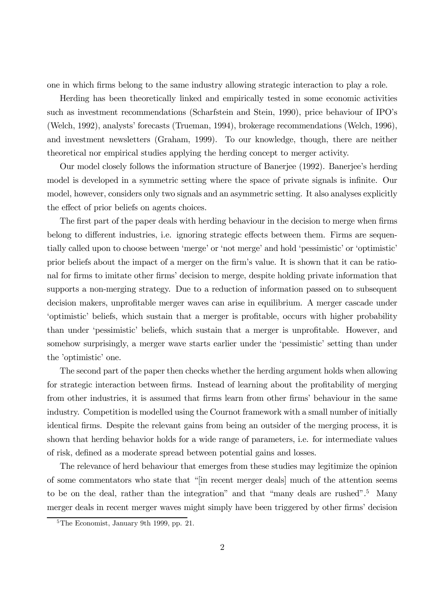one in which firms belong to the same industry allowing strategic interaction to play a role.

Herding has been theoretically linked and empirically tested in some economic activities such as investment recommendations (Scharfstein and Stein, 1990), price behaviour of IPO's (Welch, 1992), analysts' forecasts (Trueman, 1994), brokerage recommendations (Welch, 1996), and investment newsletters (Graham, 1999). To our knowledge, though, there are neither theoretical nor empirical studies applying the herding concept to merger activity.

Our model closely follows the information structure of Banerjee (1992). Banerjee's herding model is developed in a symmetric setting where the space of private signals is infinite. Our model, however, considers only two signals and an asymmetric setting. It also analyses explicitly the effect of prior beliefs on agents choices.

The first part of the paper deals with herding behaviour in the decision to merge when firms belong to different industries, i.e. ignoring strategic effects between them. Firms are sequentially called upon to choose between 'merge' or 'not merge' and hold 'pessimistic' or 'optimistic' prior beliefs about the impact of a merger on the firm's value. It is shown that it can be rational for firms to imitate other firms' decision to merge, despite holding private information that supports a non-merging strategy. Due to a reduction of information passed on to subsequent decision makers, unprofitable merger waves can arise in equilibrium. A merger cascade under 'optimistic' beliefs, which sustain that a merger is profitable, occurs with higher probability than under 'pessimistic' beliefs, which sustain that a merger is unprofitable. However, and somehow surprisingly, a merger wave starts earlier under the 'pessimistic' setting than under the 'optimistic' one.

The second part of the paper then checks whether the herding argument holds when allowing for strategic interaction between firms. Instead of learning about the profitability of merging from other industries, it is assumed that firms learn from other firms' behaviour in the same industry. Competition is modelled using the Cournot framework with a small number of initially identical firms. Despite the relevant gains from being an outsider of the merging process, it is shown that herding behavior holds for a wide range of parameters, i.e. for intermediate values of risk, defined as a moderate spread between potential gains and losses.

The relevance of herd behaviour that emerges from these studies may legitimize the opinion of some commentators who state that "[in recent merger deals] much of the attention seems to be on the deal, rather than the integration" and that "many deals are rushed".<sup>5</sup> Many merger deals in recent merger waves might simply have been triggered by other firms' decision

<sup>5</sup>The Economist, January 9th 1999, pp. 21.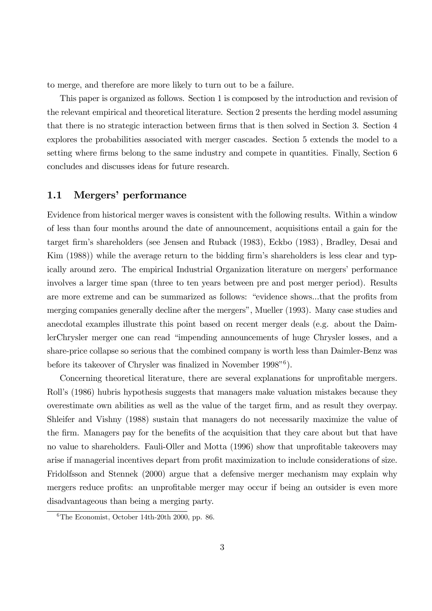to merge, and therefore are more likely to turn out to be a failure.

This paper is organized as follows. Section 1 is composed by the introduction and revision of the relevant empirical and theoretical literature. Section 2 presents the herding model assuming that there is no strategic interaction between firms that is then solved in Section 3. Section 4 explores the probabilities associated with merger cascades. Section 5 extends the model to a setting where firms belong to the same industry and compete in quantities. Finally, Section 6 concludes and discusses ideas for future research.

## 1.1 Mergers' performance

Evidence from historical merger waves is consistent with the following results. Within a window of less than four months around the date of announcement, acquisitions entail a gain for the target firm's shareholders (see Jensen and Ruback (1983), Eckbo (1983), Bradley, Desai and  $\text{Kim (1988)}$  while the average return to the bidding firm's shareholders is less clear and typically around zero. The empirical Industrial Organization literature on mergers' performance involves a larger time span (three to ten years between pre and post merger period). Results are more extreme and can be summarized as follows: "evidence shows...that the profits from merging companies generally decline after the mergers", Mueller (1993). Many case studies and anecdotal examples illustrate this point based on recent merger deals (e.g. about the DaimlerChrysler merger one can read "impending announcements of huge Chrysler losses, and a share-price collapse so serious that the combined company is worth less than Daimler-Benz was before its takeover of Chrysler was finalized in November  $1998"^{6}$ .

Concerning theoretical literature, there are several explanations for unprofitable mergers. Roll's (1986) hubris hypothesis suggests that managers make valuation mistakes because they overestimate own abilities as well as the value of the target firm, and as result they overpay. Shleifer and Vishny (1988) sustain that managers do not necessarily maximize the value of the firm. Managers pay for the benefits of the acquisition that they care about but that have no value to shareholders. Fauli-Oller and Motta (1996) show that unprofitable takeovers may arise if managerial incentives depart from profit maximization to include considerations of size. Fridolfsson and Stennek (2000) argue that a defensive merger mechanism may explain why mergers reduce profits: an unprofitable merger may occur if being an outsider is even more disadvantageous than being a merging party.

 ${}^{6}$ The Economist, October 14th-20th 2000, pp. 86.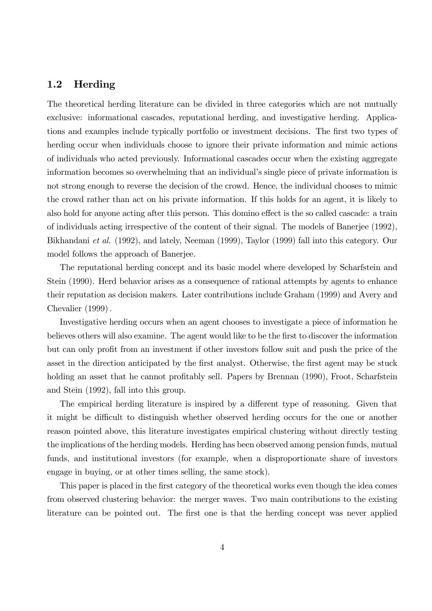## 1.2 Herding

The theoretical herding literature can be divided in three categories which are not mutually exclusive: informational cascades, reputational herding, and investigative herding. Applications and examples include typically portfolio or investment decisions. The first two types of herding occur when individuals choose to ignore their private information and mimic actions of individuals who acted previously. Informational cascades occur when the existing aggregate information becomes so overwhelming that an individual's single piece of private information is not strong enough to reverse the decision of the crowd. Hence, the individual chooses to mimic the crowd rather than act on his private information. If this holds for an agent, it is likely to also hold for anyone acting after this person. This domino effect is the so called cascade: a train of individuals acting irrespective of the content of their signal. The models of Banerjee (1992), Bikhandani et al. (1992), and lately, Neeman (1999), Taylor (1999) fall into this category. Our model follows the approach of Banerjee.

The reputational herding concept and its basic model where developed by Scharfstein and Stein (1990). Herd behavior arises as a consequence of rational attempts by agents to enhance their reputation as decision makers. Later contributions include Graham (1999) and Avery and Chevalier  $(1999)$ .

Investigative herding occurs when an agent chooses to investigate a piece of information he believes others will also examine. The agent would like to be the first to discover the information but can only profit from an investment if other investors follow suit and push the price of the asset in the direction anticipated by the first analyst. Otherwise, the first agent may be stuck holding an asset that he cannot profitably sell. Papers by Brennan (1990), Froot, Scharfstein and Stein (1992), fall into this group.

The empirical herding literature is inspired by a different type of reasoning. Given that it might be difficult to distinguish whether observed herding occurs for the one or another reason pointed above, this literature investigates empirical clustering without directly testing the implications of the herding models. Herding has been observed among pension funds, mutual funds, and institutional investors (for example, when a disproportionate share of investors engage in buying, or at other times selling, the same stock).

This paper is placed in the first category of the theoretical works even though the idea comes from observed clustering behavior: the merger waves. Two main contributions to the existing literature can be pointed out. The first one is that the herding concept was never applied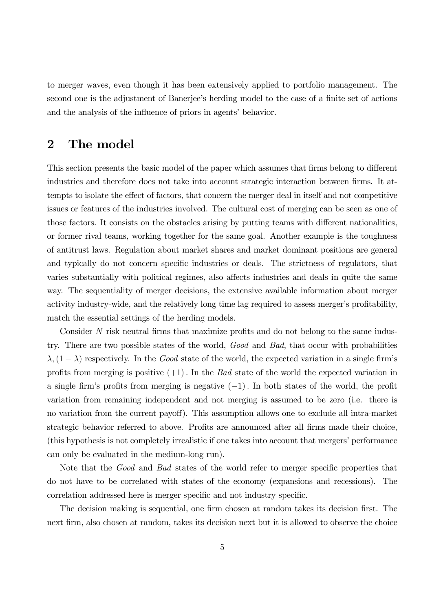to merger waves, even though it has been extensively applied to portfolio management. The second one is the adjustment of Banerjee's herding model to the case of a finite set of actions and the analysis of the influence of priors in agents' behavior.

# 2 The model

This section presents the basic model of the paper which assumes that firms belong to different industries and therefore does not take into account strategic interaction between firms. It attempts to isolate the effect of factors, that concern the merger deal in itself and not competitive issues or features of the industries involved. The cultural cost of merging can be seen as one of those factors. It consists on the obstacles arising by putting teams with different nationalities, or former rival teams, working together for the same goal. Another example is the toughness of antitrust laws. Regulation about market shares and market dominant positions are general and typically do not concern specific industries or deals. The strictness of regulators, that varies substantially with political regimes, also affects industries and deals in quite the same way. The sequentiality of merger decisions, the extensive available information about merger activity industry-wide, and the relatively long time lag required to assess merger's profitability, match the essential settings of the herding models.

Consider  $N$  risk neutral firms that maximize profits and do not belong to the same industry. There are two possible states of the world, Good and Bad, that occur with probabilities  $\lambda$ ,  $(1 - \lambda)$  respectively. In the *Good* state of the world, the expected variation in a single firm's profits from merging is positive  $(+1)$ . In the Bad state of the world the expected variation in a single firm's profits from merging is negative  $(-1)$ . In both states of the world, the profit variation from remaining independent and not merging is assumed to be zero (i.e. there is no variation from the current payoff). This assumption allows one to exclude all intra-market strategic behavior referred to above. Profits are announced after all firms made their choice, (this hypothesis is not completely irrealistic if one takes into account that mergers' performance can only be evaluated in the medium-long run).

Note that the Good and Bad states of the world refer to merger specific properties that do not have to be correlated with states of the economy (expansions and recessions). The correlation addressed here is merger specific and not industry specific.

The decision making is sequential, one firm chosen at random takes its decision first. The next firm, also chosen at random, takes its decision next but it is allowed to observe the choice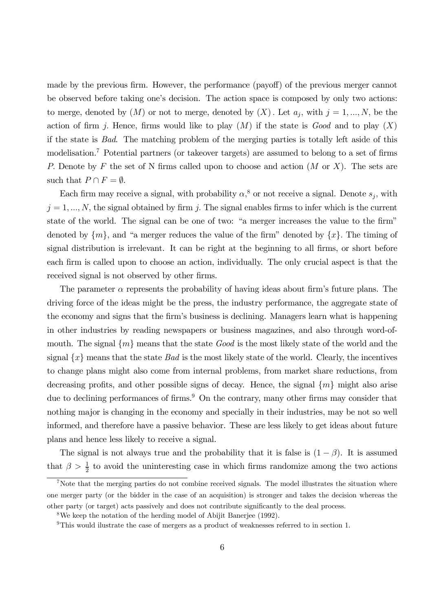made by the previous firm. However, the performance (payoff) of the previous merger cannot be observed before taking one's decision. The action space is composed by only two actions: to merge, denoted by  $(M)$  or not to merge, denoted by  $(X)$ . Let  $a_j$ , with  $j = 1, ..., N$ , be the action of firm j. Hence, firms would like to play  $(M)$  if the state is Good and to play  $(X)$ if the state is Bad. The matching problem of the merging parties is totally left aside of this modelisation.<sup>7</sup> Potential partners (or takeover targets) are assumed to belong to a set of firms P. Denote by F the set of N firms called upon to choose and action  $(M \text{ or } X)$ . The sets are such that  $P \cap F = \emptyset$ .

Each firm may receive a signal, with probability  $\alpha$ <sup>8</sup>, or not receive a signal. Denote  $s_j$ , with  $j = 1, ..., N$ , the signal obtained by firm j. The signal enables firms to infer which is the current state of the world. The signal can be one of two: "a merger increases the value to the firm" denoted by  $\{m\}$ , and "a merger reduces the value of the firm" denoted by  $\{x\}$ . The timing of signal distribution is irrelevant. It can be right at the beginning to all firms, or short before each firm is called upon to choose an action, individually. The only crucial aspect is that the received signal is not observed by other firms.

The parameter  $\alpha$  represents the probability of having ideas about firm's future plans. The driving force of the ideas might be the press, the industry performance, the aggregate state of the economy and signs that the firm's business is declining. Managers learn what is happening in other industries by reading newspapers or business magazines, and also through word-ofmouth. The signal  $\{m\}$  means that the state Good is the most likely state of the world and the signal  $\{x\}$  means that the state Bad is the most likely state of the world. Clearly, the incentives to change plans might also come from internal problems, from market share reductions, from decreasing profits, and other possible signs of decay. Hence, the signal  $\{m\}$  might also arise due to declining performances of firms.<sup>9</sup> On the contrary, many other firms may consider that nothing major is changing in the economy and specially in their industries, may be not so well informed, and therefore have a passive behavior. These are less likely to get ideas about future plans and hence less likely to receive a signal.

The signal is not always true and the probability that it is false is  $(1 - \beta)$ . It is assumed that  $\beta > \frac{1}{2}$  $\frac{1}{2}$  to avoid the uninteresting case in which firms randomize among the two actions

<sup>&</sup>lt;sup>7</sup>Note that the merging parties do not combine received signals. The model illustrates the situation where one merger party (or the bidder in the case of an acquisition) is stronger and takes the decision whereas the other party (or target) acts passively and does not contribute significantly to the deal process.

<sup>8</sup>We keep the notation of the herding model of Abijit Banerjee (1992).

<sup>9</sup>This would ilustrate the case of mergers as a product of weaknesses referred to in section 1.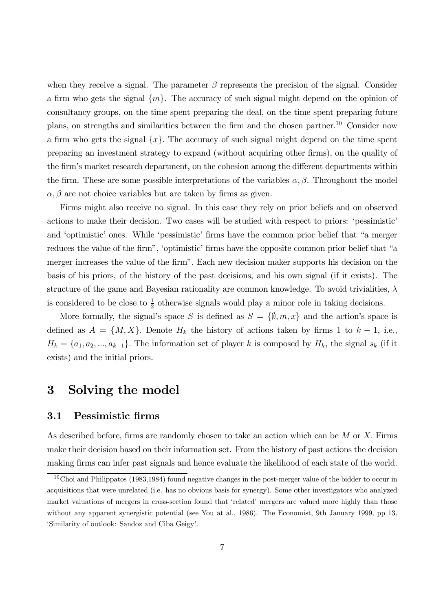when they receive a signal. The parameter  $\beta$  represents the precision of the signal. Consider a firm who gets the signal  $\{m\}$ . The accuracy of such signal might depend on the opinion of consultancy groups, on the time spent preparing the deal, on the time spent preparing future plans, on strengths and similarities between the firm and the chosen partner.<sup>10</sup> Consider now a firm who gets the signal  $\{x\}$ . The accuracy of such signal might depend on the time spent preparing an investment strategy to expand (without acquiring other firms), on the quality of the firm's market research department, on the cohesion among the different departments within the firm. These are some possible interpretations of the variables  $\alpha, \beta$ . Throughout the model  $\alpha, \beta$  are not choice variables but are taken by firms as given.

Firms might also receive no signal. In this case they rely on prior beliefs and on observed actions to make their decision. Two cases will be studied with respect to priors: 'pessimistic' and 'optimistic' ones. While 'pessimistic' firms have the common prior belief that "a merger reduces the value of the firm", 'optimistic' firms have the opposite common prior belief that "a merger increases the value of the firm". Each new decision maker supports his decision on the basis of his priors, of the history of the past decisions, and his own signal (if it exists). The structure of the game and Bayesian rationality are common knowledge. To avoid trivialities,  $\lambda$ is considered to be close to  $\frac{1}{2}$  $\frac{1}{2}$  otherwise signals would play a minor role in taking decisions.

More formally, the signal's space S is defined as  $S = \{\emptyset, m, x\}$  and the action's space is defined as  $A = \{M, X\}$ . Denote  $H_k$  the history of actions taken by firms 1 to  $k - 1$ , i.e.,  $H_k = \{a_1, a_2, ..., a_{k-1}\}.$  The information set of player k is composed by  $H_k$ , the signal  $s_k$  (if it exists) and the initial priors.

# 3 Solving the model

### 3.1 Pessimistic firms

As described before, firms are randomly chosen to take an action which can be  $M$  or  $X$ . Firms make their decision based on their information set. From the history of past actions the decision making firms can infer past signals and hence evaluate the likelihood of each state of the world.

 $10$ Choi and Philippatos (1983,1984) found negative changes in the post-merger value of the bidder to occur in acquisitions that were unrelated (i.e. has no obvious basis for synergy). Some other investigators who analyzed market valuations of mergers in cross-section found that 'related' mergers are valued more highly than those without any apparent synergistic potential (see You at al., 1986). The Economist, 9th January 1999, pp 13, 'Similarity of outlook: Sandoz and Ciba Geigy'.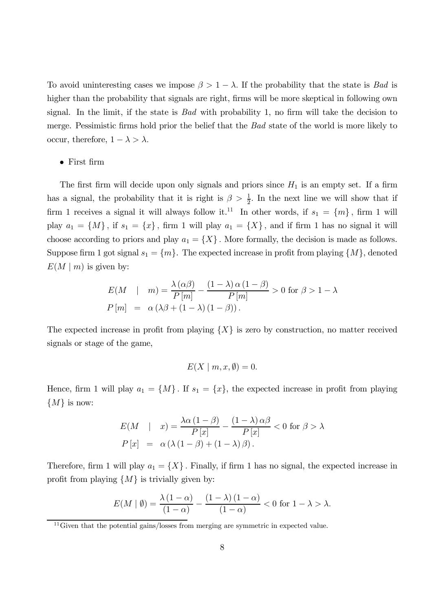To avoid uninteresting cases we impose  $\beta > 1 - \lambda$ . If the probability that the state is Bad is higher than the probability that signals are right, firms will be more skeptical in following own signal. In the limit, if the state is  $Bad$  with probability 1, no firm will take the decision to merge. Pessimistic firms hold prior the belief that the  $Bad$  state of the world is more likely to occur, therefore,  $1 - \lambda > \lambda$ .

 $\bullet$  First firm

The first firm will decide upon only signals and priors since  $H_1$  is an empty set. If a firm has a signal, the probability that it is right is  $\beta > \frac{1}{2}$  $\frac{1}{2}$ . In the next line we will show that if firm 1 receives a signal it will always follow it.<sup>11</sup> In other words, if  $s_1 = \{m\}$ , firm 1 will play  $a_1 = \{M\}$ , if  $s_1 = \{x\}$ , firm 1 will play  $a_1 = \{X\}$ , and if firm 1 has no signal it will choose according to priors and play  $a_1 = \{X\}$ . More formally, the decision is made as follows. Suppose firm 1 got signal  $s_1 = \{m\}$ . The expected increase in profit from playing  $\{M\}$ , denoted  $E(M | m)$  is given by:

$$
E(M \mid m) = \frac{\lambda (\alpha \beta)}{P[m]} - \frac{(1 - \lambda) \alpha (1 - \beta)}{P[m]} > 0 \text{ for } \beta > 1 - \lambda
$$
  

$$
P[m] = \alpha (\lambda \beta + (1 - \lambda) (1 - \beta)).
$$

The expected increase in profit from playing  $\{X\}$  is zero by construction, no matter received signals or stage of the game,

$$
E(X \mid m, x, \emptyset) = 0.
$$

Hence, firm 1 will play  $a_1 = \{M\}$ . If  $s_1 = \{x\}$ , the expected increase in profit from playing  $\{M\}$  is now:

$$
E(M \mid x) = \frac{\lambda \alpha (1 - \beta)}{P[x]} - \frac{(1 - \lambda) \alpha \beta}{P[x]} < 0 \text{ for } \beta > \lambda
$$

$$
P[x] = \alpha (\lambda (1 - \beta) + (1 - \lambda) \beta).
$$

Therefore, firm 1 will play  $a_1 = \{X\}$ . Finally, if firm 1 has no signal, the expected increase in profit from playing  $\{M\}$  is trivially given by:

$$
E(M \mid \emptyset) = \frac{\lambda (1 - \alpha)}{(1 - \alpha)} - \frac{(1 - \lambda)(1 - \alpha)}{(1 - \alpha)} < 0 \text{ for } 1 - \lambda > \lambda.
$$

<sup>&</sup>lt;sup>11</sup>Given that the potential gains/losses from merging are symmetric in expected value.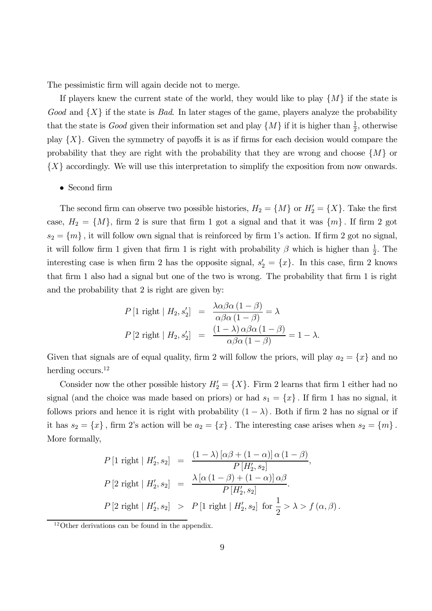The pessimistic firm will again decide not to merge.

If players knew the current state of the world, they would like to play  $\{M\}$  if the state is Good and  $\{X\}$  if the state is Bad. In later stages of the game, players analyze the probability that the state is *Good* given their information set and play  $\{M\}$  if it is higher than  $\frac{1}{2}$  $\frac{1}{2}$ , otherwise play  $\{X\}$ . Given the symmetry of payoffs it is as if firms for each decision would compare the probability that they are right with the probability that they are wrong and choose  $\{M\}$  or  ${X}$  accordingly. We will use this interpretation to simplify the exposition from now onwards.

#### $\bullet$  Second firm

The second firm can observe two possible histories,  $H_2 = \{M\}$  or  $H_2' = \{X\}$ . Take the first case,  $H_2 = \{M\}$ , firm 2 is sure that firm 1 got a signal and that it was  $\{m\}$ . If firm 2 got  $s_2 = \{m\}$ , it will follow own signal that is reinforced by firm 1's action. If firm 2 got no signal, it will follow firm 1 given that firm 1 is right with probability  $\beta$  which is higher than  $\frac{1}{2}$  $\frac{1}{2}$ . The interesting case is when firm 2 has the opposite signal,  $s_2' = \{x\}$ . In this case, firm 2 knows that firm 1 also had a signal but one of the two is wrong. The probability that firm 1 is right and the probability that 2 is right are given by:

$$
P[1 \text{ right} | H_2, s_2'] = \frac{\lambda \alpha \beta \alpha (1 - \beta)}{\alpha \beta \alpha (1 - \beta)} = \lambda
$$
  

$$
P[2 \text{ right} | H_2, s_2'] = \frac{(1 - \lambda) \alpha \beta \alpha (1 - \beta)}{\alpha \beta \alpha (1 - \beta)} = 1 - \lambda.
$$

Given that signals are of equal quality, firm 2 will follow the priors, will play  $a_2 = \{x\}$  and no herding occurs.<sup>12</sup>

Consider now the other possible history  $H_2' = \{X\}$ . Firm 2 learns that firm 1 either had no signal (and the choice was made based on priors) or had  $s_1 = \{x\}$ . If firm 1 has no signal, it follows priors and hence it is right with probability  $(1 - \lambda)$ . Both if firm 2 has no signal or if it has  $s_2 = \{x\}$ , firm 2's action will be  $a_2 = \{x\}$ . The interesting case arises when  $s_2 = \{m\}$ . More formally,

$$
P[1 \text{ right} | H_2', s_2] = \frac{(1 - \lambda) [\alpha \beta + (1 - \alpha)] \alpha (1 - \beta)}{P[H_2', s_2]},
$$
  

$$
P[2 \text{ right} | H_2', s_2] = \frac{\lambda [\alpha (1 - \beta) + (1 - \alpha)] \alpha \beta}{P[H_2', s_2]}.
$$
  

$$
P[2 \text{ right} | H_2', s_2] > P[1 \text{ right} | H_2', s_2] \text{ for } \frac{1}{2} > \lambda > f(\alpha, \beta).
$$

<sup>&</sup>lt;sup>12</sup>Other derivations can be found in the appendix.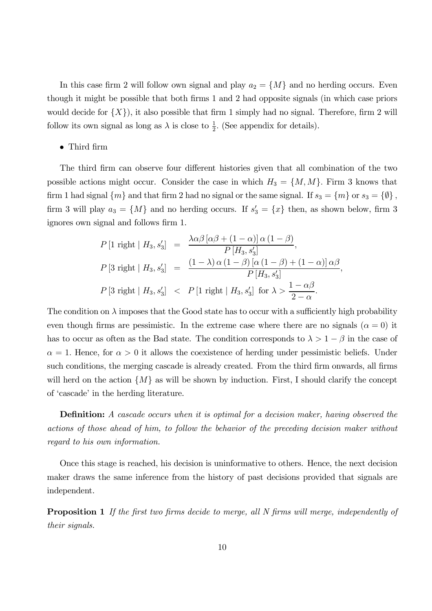In this case firm 2 will follow own signal and play  $a_2 = \{M\}$  and no herding occurs. Even though it might be possible that both firms 1 and 2 had opposite signals (in which case priors would decide for  $\{X\}$ , it also possible that firm 1 simply had no signal. Therefore, firm 2 will follow its own signal as long as  $\lambda$  is close to  $\frac{1}{2}$  $\frac{1}{2}$ . (See appendix for details).

#### • Third firm

The third firm can observe four different histories given that all combination of the two possible actions might occur. Consider the case in which  $H_3 = \{M, M\}$ . Firm 3 knows that firm 1 had signal  $\{m\}$  and that firm 2 had no signal or the same signal. If  $s_3 = \{m\}$  or  $s_3 = \{\emptyset\}$ , firm 3 will play  $a_3 = \{M\}$  and no herding occurs. If  $s'_3 = \{x\}$  then, as shown below, firm 3 ignores own signal and follows firm 1.

$$
P[1 \text{ right} | H_3, s_3'] = \frac{\lambda \alpha \beta [\alpha \beta + (1 - \alpha)] \alpha (1 - \beta)}{P[H_3, s_3']},
$$
  

$$
P[3 \text{ right} | H_3, s_3'] = \frac{(1 - \lambda) \alpha (1 - \beta) [\alpha (1 - \beta) + (1 - \alpha)] \alpha \beta}{P[H_3, s_3']},
$$
  

$$
P[3 \text{ right} | H_3, s_3'] < P[1 \text{ right} | H_3, s_3'] \text{ for } \lambda > \frac{1 - \alpha \beta}{2 - \alpha}.
$$

The condition on  $\lambda$  imposes that the Good state has to occur with a sufficiently high probability even though firms are pessimistic. In the extreme case where there are no signals  $(\alpha = 0)$  it has to occur as often as the Bad state. The condition corresponds to  $\lambda > 1 - \beta$  in the case of  $\alpha = 1$ . Hence, for  $\alpha > 0$  it allows the coexistence of herding under pessimistic beliefs. Under such conditions, the merging cascade is already created. From the third firm onwards, all firms will herd on the action  $\{M\}$  as will be shown by induction. First, I should clarify the concept of 'cascade' in the herding literature.

**Definition:** A cascade occurs when it is optimal for a decision maker, having observed the actions of those ahead of him, to follow the behavior of the preceding decision maker without regard to his own information.

Once this stage is reached, his decision is uninformative to others. Hence, the next decision maker draws the same inference from the history of past decisions provided that signals are independent.

**Proposition 1** If the first two firms decide to merge, all N firms will merge, independently of their signals.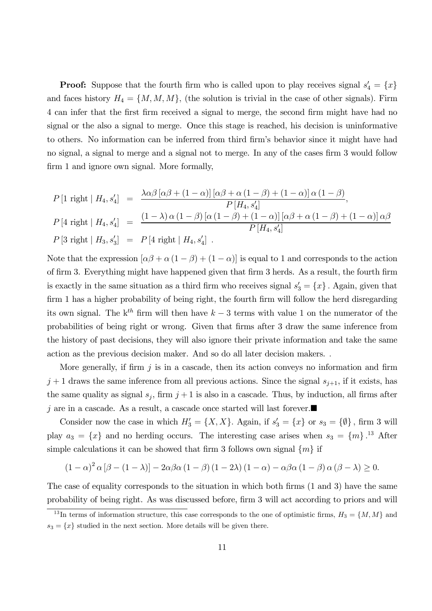**Proof:** Suppose that the fourth firm who is called upon to play receives signal  $s'_4 = \{x\}$ and faces history  $H_4 = \{M, M, M\}$ , (the solution is trivial in the case of other signals). Firm 4 can infer that the first firm received a signal to merge, the second firm might have had no signal or the also a signal to merge. Once this stage is reached, his decision is uninformative to others. No information can be inferred from third firm's behavior since it might have had no signal, a signal to merge and a signal not to merge. In any of the cases firm 3 would follow firm 1 and ignore own signal. More formally,

$$
P[1 \text{ right} | H_4, s'_4] = \frac{\lambda \alpha \beta [\alpha \beta + (1 - \alpha)] [\alpha \beta + \alpha (1 - \beta) + (1 - \alpha)] \alpha (1 - \beta)}{P[H_4, s'_4]}
$$
  
\n
$$
P[4 \text{ right} | H_4, s'_4] = \frac{(1 - \lambda) \alpha (1 - \beta) [\alpha (1 - \beta) + (1 - \alpha)] [\alpha \beta + \alpha (1 - \beta) + (1 - \alpha)] \alpha \beta}{P[H_4, s'_4]}
$$
  
\n
$$
P[3 \text{ right} | H_3, s'_3] = P[4 \text{ right} | H_4, s'_4].
$$

Note that the expression  $[\alpha\beta + \alpha(1-\beta) + (1-\alpha)]$  is equal to 1 and corresponds to the action of firm 3. Everything might have happened given that firm 3 herds. As a result, the fourth firm is exactly in the same situation as a third firm who receives signal  $s'_3 = \{x\}$ . Again, given that firm 1 has a higher probability of being right, the fourth firm will follow the herd disregarding its own signal. The  $k^{th}$  firm will then have  $k-3$  terms with value 1 on the numerator of the probabilities of being right or wrong. Given that firms after 3 draw the same inference from the history of past decisions, they will also ignore their private information and take the same action as the previous decision maker. And so do all later decision makers. :

More generally, if firm  $j$  is in a cascade, then its action conveys no information and firm  $j+1$  draws the same inference from all previous actions. Since the signal  $s_{j+1}$ , if it exists, has the same quality as signal  $s_j$ , firm  $j + 1$  is also in a cascade. Thus, by induction, all firms after j are in a cascade. As a result, a cascade once started will last forever.

Consider now the case in which  $H_3' = \{X, X\}$ . Again, if  $s_3' = \{x\}$  or  $s_3 = \{\emptyset\}$ , firm 3 will play  $a_3 = \{x\}$  and no herding occurs. The interesting case arises when  $s_3 = \{m\}$ .<sup>13</sup> After simple calculations it can be showed that firm 3 follows own signal  $\{m\}$  if

$$
(1 - \alpha)^2 \alpha [\beta - (1 - \lambda)] - 2\alpha \beta \alpha (1 - \beta) (1 - 2\lambda) (1 - \alpha) - \alpha \beta \alpha (1 - \beta) \alpha (\beta - \lambda) \ge 0.
$$

The case of equality corresponds to the situation in which both firms (1 and 3) have the same probability of being right. As was discussed before, firm 3 will act according to priors and will

<sup>&</sup>lt;sup>13</sup>In terms of information structure, this case corresponds to the one of optimistic firms,  $H_3 = \{M, M\}$  and  $s_3 = \{x\}$  studied in the next section. More details will be given there.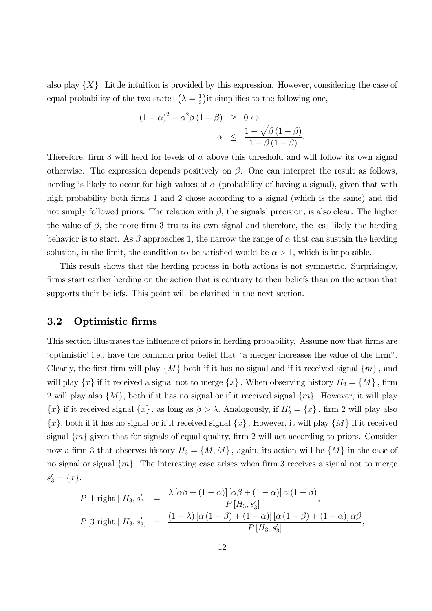also play  $\{X\}$ . Little intuition is provided by this expression. However, considering the case of equal probability of the two states  $\left(\lambda = \frac{1}{2}\right)$  $\frac{1}{2}$ ) it simplifies to the following one,

$$
(1 - \alpha)^2 - \alpha^2 \beta (1 - \beta) \geq 0 \Leftrightarrow
$$
  

$$
\alpha \leq \frac{1 - \sqrt{\beta (1 - \beta)}}{1 - \beta (1 - \beta)}.
$$

Therefore, firm 3 will herd for levels of  $\alpha$  above this threshold and will follow its own signal otherwise. The expression depends positively on  $\beta$ . One can interpret the result as follows, herding is likely to occur for high values of  $\alpha$  (probability of having a signal), given that with high probability both firms 1 and 2 chose according to a signal (which is the same) and did not simply followed priors. The relation with  $\beta$ , the signals' precision, is also clear. The higher the value of  $\beta$ , the more firm 3 trusts its own signal and therefore, the less likely the herding behavior is to start. As  $\beta$  approaches 1, the narrow the range of  $\alpha$  that can sustain the herding solution, in the limit, the condition to be satisfied would be  $\alpha > 1$ , which is impossible.

This result shows that the herding process in both actions is not symmetric. Surprisingly, firms start earlier herding on the action that is contrary to their beliefs than on the action that supports their beliefs. This point will be clarified in the next section.

## 3.2 Optimistic firms

This section illustrates the influence of priors in herding probability. Assume now that firms are 'optimistic' i.e., have the common prior belief that "a merger increases the value of the firm". Clearly, the first firm will play  $\{M\}$  both if it has no signal and if it received signal  $\{m\}$ , and will play  $\{x\}$  if it received a signal not to merge  $\{x\}$ . When observing history  $H_2 = \{M\}$ , firm 2 will play also  $\{M\}$ , both if it has no signal or if it received signal  $\{m\}$ . However, it will play  ${x}$  if it received signal  ${x}$ , as long as  $\beta > \lambda$ . Analogously, if  $H'_2 = {x}$ , firm 2 will play also  $\{x\}$ , both if it has no signal or if it received signal  $\{x\}$ . However, it will play  $\{M\}$  if it received signal  $\{m\}$  given that for signals of equal quality, firm 2 will act according to priors. Consider now a firm 3 that observes history  $H_3 = \{M, M\}$ , again, its action will be  $\{M\}$  in the case of no signal or signal  $\{m\}$ . The interesting case arises when firm 3 receives a signal not to merge  $s'_3 = \{x\}.$ 

$$
P[1 \text{ right} | H_3, s_3'] = \frac{\lambda [\alpha \beta + (1 - \alpha)] [\alpha \beta + (1 - \alpha)] \alpha (1 - \beta)}{P[H_3, s_3']},
$$
  

$$
P[3 \text{ right} | H_3, s_3'] = \frac{(1 - \lambda) [\alpha (1 - \beta) + (1 - \alpha)] [\alpha (1 - \beta) + (1 - \alpha)] \alpha \beta}{P[H_3, s_3']},
$$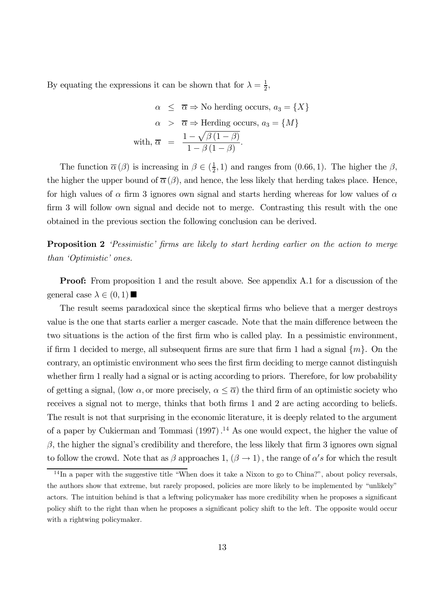By equating the expressions it can be shown that for  $\lambda = \frac{1}{2}$  $\frac{1}{2}$ ,

$$
\alpha \leq \overline{\alpha} \Rightarrow \text{No herding occurs, } a_3 = \{X\}
$$
  
\n
$$
\alpha > \overline{\alpha} \Rightarrow \text{Herding occurs, } a_3 = \{M\}
$$
  
\nwith,  $\overline{\alpha} = \frac{1 - \sqrt{\beta(1 - \beta)}}{1 - \beta(1 - \beta)}$ .

The function  $\overline{\alpha}(\beta)$  is increasing in  $\beta \in (\frac{1}{2})$  $(\frac{1}{2}, 1)$  and ranges from  $(0.66, 1)$ . The higher the  $\beta$ , the higher the upper bound of  $\overline{\alpha}(\beta)$ , and hence, the less likely that herding takes place. Hence, for high values of  $\alpha$  firm 3 ignores own signal and starts herding whereas for low values of  $\alpha$ firm 3 will follow own signal and decide not to merge. Contrasting this result with the one obtained in the previous section the following conclusion can be derived.

**Proposition 2** 'Pessimistic' firms are likely to start herding earlier on the action to merge than 'Optimistic' ones.

**Proof:** From proposition 1 and the result above. See appendix A.1 for a discussion of the general case  $\lambda \in (0,1)$ 

The result seems paradoxical since the skeptical firms who believe that a merger destroys value is the one that starts earlier a merger cascade. Note that the main difference between the two situations is the action of the first firm who is called play. In a pessimistic environment, if firm 1 decided to merge, all subsequent firms are sure that firm 1 had a signal  $\{m\}$ . On the contrary, an optimistic environment who sees the first firm deciding to merge cannot distinguish whether firm 1 really had a signal or is acting according to priors. Therefore, for low probability of getting a signal, (low  $\alpha$ , or more precisely,  $\alpha \leq \overline{\alpha}$ ) the third firm of an optimistic society who receives a signal not to merge, thinks that both firms 1 and 2 are acting according to beliefs. The result is not that surprising in the economic literature, it is deeply related to the argument of a paper by Cukierman and Tommasi  $(1997)$ .<sup>14</sup> As one would expect, the higher the value of  $\beta$ , the higher the signal's credibility and therefore, the less likely that firm 3 ignores own signal to follow the crowd. Note that as  $\beta$  approaches 1,  $(\beta \to 1)$ , the range of  $\alpha's$  for which the result

<sup>&</sup>lt;sup>14</sup>In a paper with the suggestive title "When does it take a Nixon to go to China?", about policy reversals, the authors show that extreme, but rarely proposed, policies are more likely to be implemented by "unlikely" actors. The intuition behind is that a leftwing policymaker has more credibility when he proposes a significant policy shift to the right than when he proposes a significant policy shift to the left. The opposite would occur with a rightwing policymaker.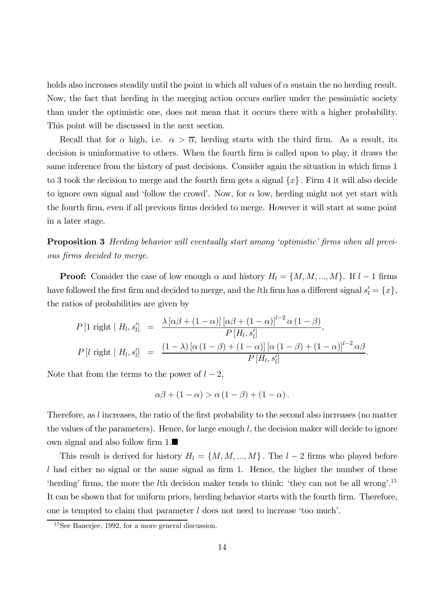holds also increases steadily until the point in which all values of  $\alpha$  sustain the no herding result. Now, the fact that herding in the merging action occurs earlier under the pessimistic society than under the optimistic one, does not mean that it occurs there with a higher probability. This point will be discussed in the next section.

Recall that for  $\alpha$  high, i.e.  $\alpha > \overline{\alpha}$ , herding starts with the third firm. As a result, its decision is uninformative to others. When the fourth firm is called upon to play, it draws the same inference from the history of past decisions. Consider again the situation in which firms 1 to 3 took the decision to merge and the fourth firm gets a signal  $\{x\}$ . Firm 4 it will also decide to ignore own signal and 'follow the crowd'. Now, for  $\alpha$  low, herding might not yet start with the fourth firm, even if all previous firms decided to merge. However it will start at some point in a later stage.

**Proposition 3** Herding behavior will eventually start among 'optimistic' firms when all previous firms decided to merge.

**Proof:** Consider the case of low enough  $\alpha$  and history  $H_l = \{M, M, ..., M\}$ . If  $l-1$  firms have followed the first firm and decided to merge, and the *l*th firm has a different signal  $s'_{l} = \{x\}$ , the ratios of probabilities are given by

$$
P\left[1 \text{ right} \mid H_l, s'_l\right] = \frac{\lambda \left[\alpha \beta + (1 - \alpha)\right] \left[\alpha \beta + (1 - \alpha)\right]^{l-2} \alpha \left(1 - \beta\right)}{P\left[H_l, s'_l\right]},
$$
  

$$
P\left[l \text{ right} \mid H_l, s'_l\right] = \frac{(1 - \lambda) \left[\alpha \left(1 - \beta\right) + (1 - \alpha)\right] \left[\alpha \left(1 - \beta\right) + (1 - \alpha)\right]^{l-2} \alpha \beta}{P\left[H_l, s'_l\right]}.
$$

Note that from the terms to the power of  $l-2$ ,

$$
\alpha\beta + (1 - \alpha) > \alpha (1 - \beta) + (1 - \alpha).
$$

Therefore, as  $l$  increases, the ratio of the first probability to the second also increases (no matter the values of the parameters). Hence, for large enough  $l$ , the decision maker will decide to ignore own signal and also follow firm  $1.\blacksquare$ 

This result is derived for history  $H_l = \{M, M, ..., M\}$ . The  $l-2$  firms who played before  $l$  had either no signal or the same signal as firm 1. Hence, the higher the number of these 'herding' firms, the more the *l*th decision maker tends to think: 'they can not be all wrong'.<sup>15</sup> It can be shown that for uniform priors, herding behavior starts with the fourth firm. Therefore, one is tempted to claim that parameter  $l$  does not need to increase 'too much'.

<sup>&</sup>lt;sup>15</sup>See Banerjee, 1992, for a more general discussion.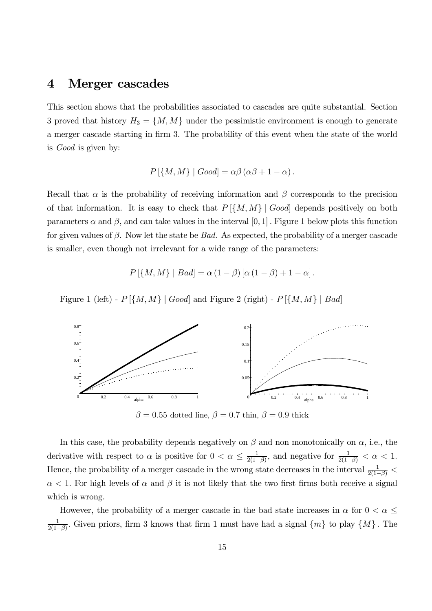# 4 Merger cascades

This section shows that the probabilities associated to cascades are quite substantial. Section 3 proved that history  $H_3 = \{M, M\}$  under the pessimistic environment is enough to generate a merger cascade starting in firm 3. The probability of this event when the state of the world is Good is given by:

$$
P\left[\{M,M\}\mid Good\right] = \alpha\beta\left(\alpha\beta + 1 - \alpha\right).
$$

Recall that  $\alpha$  is the probability of receiving information and  $\beta$  corresponds to the precision of that information. It is easy to check that  $P[\{M, M\} | Good]$  depends positively on both parameters  $\alpha$  and  $\beta$ , and can take values in the interval [0, 1]. Figure 1 below plots this function for given values of  $\beta$ . Now let the state be *Bad.* As expected, the probability of a merger cascade is smaller, even though not irrelevant for a wide range of the parameters:

$$
P\left[\{M,M\}\mid Bad\right]=\alpha\left(1-\beta\right)\left[\alpha\left(1-\beta\right)+1-\alpha\right].
$$

Figure 1 (left) -  $P[\{M, M\} | Good]$  and Figure 2 (right) -  $P[\{M, M\} | Bad]$ 



 $\beta = 0.55$  dotted line,  $\beta = 0.7$  thin,  $\beta = 0.9$  thick

In this case, the probability depends negatively on  $\beta$  and non monotonically on  $\alpha$ , i.e., the derivative with respect to  $\alpha$  is positive for  $0 < \alpha \leq \frac{1}{2(1-\alpha)}$  $\frac{1}{2(1-\beta)}$ , and negative for  $\frac{1}{2(1-\beta)} < \alpha < 1$ . Hence, the probability of a merger cascade in the wrong state decreases in the interval  $\frac{1}{2(1-\beta)}$  <  $\alpha$  < 1. For high levels of  $\alpha$  and  $\beta$  it is not likely that the two first firms both receive a signal which is wrong.

However, the probability of a merger cascade in the bad state increases in  $\alpha$  for  $0 < \alpha \leq$ 1  $\frac{1}{2(1-\beta)}$ . Given priors, firm 3 knows that firm 1 must have had a signal  $\{m\}$  to play  $\{M\}$ . The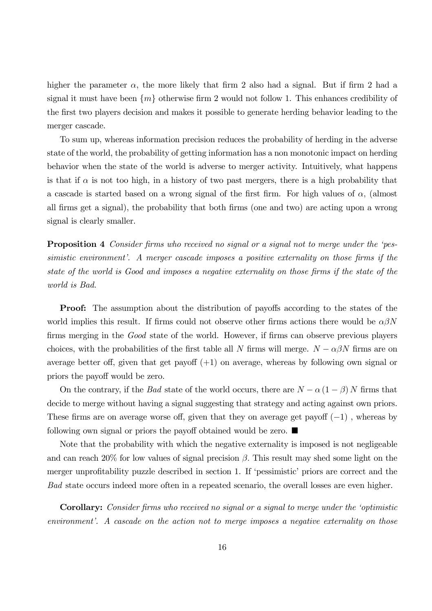higher the parameter  $\alpha$ , the more likely that firm 2 also had a signal. But if firm 2 had a signal it must have been  $\{m\}$  otherwise firm 2 would not follow 1. This enhances credibility of the first two players decision and makes it possible to generate herding behavior leading to the merger cascade.

To sum up, whereas information precision reduces the probability of herding in the adverse state of the world, the probability of getting information has a non monotonic impact on herding behavior when the state of the world is adverse to merger activity. Intuitively, what happens is that if  $\alpha$  is not too high, in a history of two past mergers, there is a high probability that a cascade is started based on a wrong signal of the first firm. For high values of  $\alpha$ , (almost all firms get a signal), the probability that both firms (one and two) are acting upon a wrong signal is clearly smaller.

**Proposition 4** Consider firms who received no signal or a signal not to merge under the 'pessimistic environment'. A merger cascade imposes a positive externality on those firms if the state of the world is Good and imposes a negative externality on those firms if the state of the world is Bad.

**Proof:** The assumption about the distribution of payoffs according to the states of the world implies this result. If firms could not observe other firms actions there would be  $\alpha\beta N$ firms merging in the Good state of the world. However, if firms can observe previous players choices, with the probabilities of the first table all N firms will merge.  $N - \alpha \beta N$  firms are on average better off, given that get payoff  $(+1)$  on average, whereas by following own signal or priors the payoff would be zero.

On the contrary, if the *Bad* state of the world occurs, there are  $N - \alpha (1 - \beta) N$  firms that decide to merge without having a signal suggesting that strategy and acting against own priors. These firms are on average worse off, given that they on average get payoff  $(-1)$ , whereas by following own signal or priors the payoff obtained would be zero.  $\blacksquare$ 

Note that the probability with which the negative externality is imposed is not negligeable and can reach 20% for low values of signal precision  $\beta$ . This result may shed some light on the merger unprofitability puzzle described in section 1. If 'pessimistic' priors are correct and the Bad state occurs indeed more often in a repeated scenario, the overall losses are even higher.

**Corollary:** Consider firms who received no signal or a signal to merge under the 'optimistic environment'. A cascade on the action not to merge imposes a negative externality on those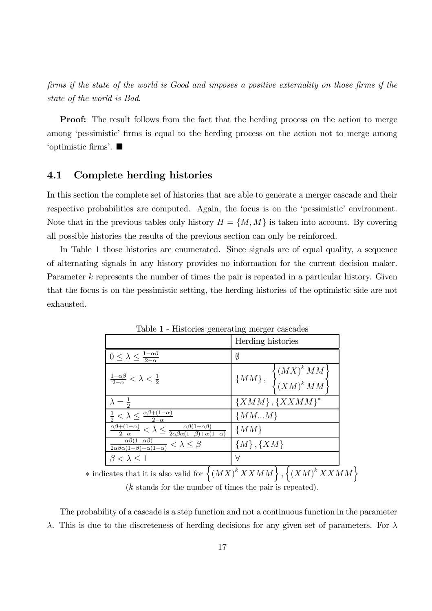firms if the state of the world is Good and imposes a positive externality on those firms if the state of the world is Bad.

**Proof:** The result follows from the fact that the herding process on the action to merge among 'pessimistic' firms is equal to the herding process on the action not to merge among 'optimistic firms'.  $\blacksquare$ 

## 4.1 Complete herding histories

In this section the complete set of histories that are able to generate a merger cascade and their respective probabilities are computed. Again, the focus is on the 'pessimistic' environment. Note that in the previous tables only history  $H = \{M, M\}$  is taken into account. By covering all possible histories the results of the previous section can only be reinforced.

In Table 1 those histories are enumerated. Since signals are of equal quality, a sequence of alternating signals in any history provides no information for the current decision maker. Parameter k represents the number of times the pair is repeated in a particular history. Given that the focus is on the pessimistic setting, the herding histories of the optimistic side are not exhausted.

|                                                                                                                                      | Herding histories                                                                  |
|--------------------------------------------------------------------------------------------------------------------------------------|------------------------------------------------------------------------------------|
| $0 \leq \lambda \leq \frac{1-\alpha\beta}{2-\alpha}$                                                                                 | Ø                                                                                  |
| $\frac{1-\alpha\beta}{2-\alpha}<\lambda<\frac{1}{2}$                                                                                 | $\{MM\},\;\; \begin{cases} \left( MX\right)^kMM\\ \left(XM\right)^kMM \end{cases}$ |
|                                                                                                                                      | ${XMM}, {XXMM}^*$                                                                  |
| $\frac{1}{2} < \lambda \leq \frac{\alpha\beta + (1-\alpha)}{2-\alpha}$                                                               | ${MMM}$                                                                            |
| $\frac{\alpha\beta+(1-\alpha)}{2-\alpha}<\lambda\leq\frac{\alpha\beta(1-\alpha\beta)}{2\alpha\beta\alpha(1-\beta)+\alpha(1-\alpha)}$ | $\{MM\}$                                                                           |
| $\frac{\alpha\beta(1-\alpha\beta)}{2\alpha\beta\alpha(1-\beta)+\alpha(1-\alpha)} < \lambda \leq \beta$                               | $\{M\}, \{XM\}$                                                                    |
| $\beta < \lambda \leq 1$                                                                                                             | Α                                                                                  |

Table 1 - Histories generating merger cascades

\* indicates that it is also valid for  $\{(MX)^k XXXMM\}, \{(XM)^k XXXMM\}$ (k stands for the number of times the pair is repeated).

The probability of a cascade is a step function and not a continuous function in the parameter  $\lambda$ . This is due to the discreteness of herding decisions for any given set of parameters. For  $\lambda$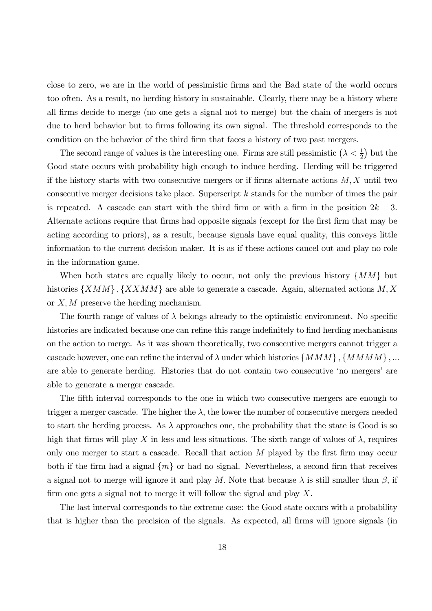close to zero, we are in the world of pessimistic firms and the Bad state of the world occurs too often. As a result, no herding history in sustainable. Clearly, there may be a history where all firms decide to merge (no one gets a signal not to merge) but the chain of mergers is not due to herd behavior but to firms following its own signal. The threshold corresponds to the condition on the behavior of the third firm that faces a history of two past mergers.

The second range of values is the interesting one. Firms are still pessimistic  $(\lambda < \frac{1}{2})$  $(\frac{1}{2})$  but the Good state occurs with probability high enough to induce herding. Herding will be triggered if the history starts with two consecutive mergers or if firms alternate actions  $M, X$  until two consecutive merger decisions take place. Superscript  $k$  stands for the number of times the pair is repeated. A cascade can start with the third firm or with a firm in the position  $2k + 3$ . Alternate actions require that firms had opposite signals (except for the first firm that may be acting according to priors), as a result, because signals have equal quality, this conveys little information to the current decision maker. It is as if these actions cancel out and play no role in the information game.

When both states are equally likely to occur, not only the previous history  $\{MM\}$  but histories  $\{XMM\}$ ,  $\{XXXM\}$  are able to generate a cascade. Again, alternated actions M, X or  $X, M$  preserve the herding mechanism.

The fourth range of values of  $\lambda$  belongs already to the optimistic environment. No specific histories are indicated because one can refine this range indefinitely to find herding mechanisms on the action to merge. As it was shown theoretically, two consecutive mergers cannot trigger a cascade however, one can refine the interval of  $\lambda$  under which histories  $\{MMM\}$ ,  $\{MMMM\}$ , ... are able to generate herding. Histories that do not contain two consecutive 'no mergers' are able to generate a merger cascade.

The fifth interval corresponds to the one in which two consecutive mergers are enough to trigger a merger cascade. The higher the  $\lambda$ , the lower the number of consecutive mergers needed to start the herding process. As  $\lambda$  approaches one, the probability that the state is Good is so high that firms will play X in less and less situations. The sixth range of values of  $\lambda$ , requires only one merger to start a cascade. Recall that action  $M$  played by the first firm may occur both if the firm had a signal  $\{m\}$  or had no signal. Nevertheless, a second firm that receives a signal not to merge will ignore it and play M. Note that because  $\lambda$  is still smaller than  $\beta$ , if firm one gets a signal not to merge it will follow the signal and play  $X$ .

The last interval corresponds to the extreme case: the Good state occurs with a probability that is higher than the precision of the signals. As expected, all firms will ignore signals (in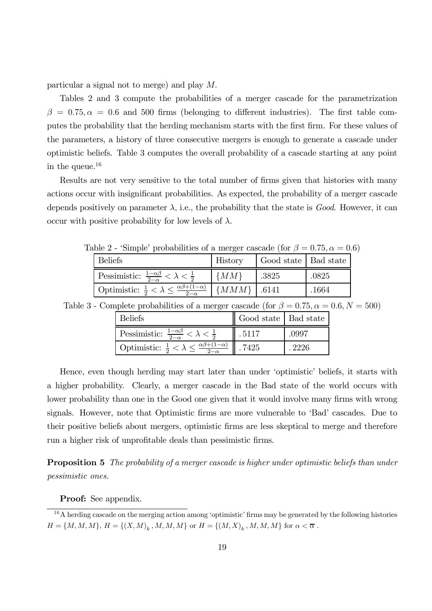particular a signal not to merge) and play M:

Tables 2 and 3 compute the probabilities of a merger cascade for the parametrization  $\beta = 0.75, \alpha = 0.6$  and 500 firms (belonging to different industries). The first table computes the probability that the herding mechanism starts with the first firm. For these values of the parameters, a history of three consecutive mergers is enough to generate a cascade under optimistic beliefs. Table 3 computes the overall probability of a cascade starting at any point in the queue. 16

Results are not very sensitive to the total number of firms given that histories with many actions occur with insignificant probabilities. As expected, the probability of a merger cascade depends positively on parameter  $\lambda$ , i.e., the probability that the state is *Good*. However, it can occur with positive probability for low levels of  $\lambda$ .

| $\alpha$ and $\alpha = 0.1$ and $\alpha = 0.0$ and $\alpha = 0.0$ and $\alpha = 0.0$ and $\alpha = 0.0$ |                 |                        |       |  |  |  |  |  |
|---------------------------------------------------------------------------------------------------------|-----------------|------------------------|-------|--|--|--|--|--|
| <b>Beliefs</b>                                                                                          | History         | Good state   Bad state |       |  |  |  |  |  |
| Pessimistic: $\frac{1-\alpha\beta}{2-\alpha} < \lambda < \frac{1}{2}$                                   | $\{MM\}$        | .3825                  | .0825 |  |  |  |  |  |
| Optimistic: $\frac{1}{2} < \lambda \leq \frac{\alpha\beta + (1-\alpha)}{2-\alpha}$                      | $\{MMM\}$ .6141 |                        | .1664 |  |  |  |  |  |

Table 2 - 'Simple' probabilities of a merger cascade (for  $\beta = 0.75, \alpha = 0.6$ )

| Table 3 - Complete probabilities of a merger cascade (for $\beta = 0.75$ , $\alpha = 0.6$ , $N = 500$ ) |  |  |  |  |  |  |
|---------------------------------------------------------------------------------------------------------|--|--|--|--|--|--|
|---------------------------------------------------------------------------------------------------------|--|--|--|--|--|--|

| <b>Beliefs</b>                                                        | Good state   Bad state |       |
|-----------------------------------------------------------------------|------------------------|-------|
| Pessimistic: $\frac{1-\alpha\beta}{2-\alpha} < \lambda < \frac{1}{2}$ | .5117                  | .0997 |
| Optimistic: $\frac{1}{2} < \lambda < \frac{\alpha\beta + (1)}{2}$     | 7425                   | -2226 |

Hence, even though herding may start later than under 'optimistic' beliefs, it starts with a higher probability. Clearly, a merger cascade in the Bad state of the world occurs with lower probability than one in the Good one given that it would involve many firms with wrong signals. However, note that Optimistic firms are more vulnerable to 'Bad' cascades. Due to their positive beliefs about mergers, optimistic firms are less skeptical to merge and therefore run a higher risk of unprofitable deals than pessimistic firms.

**Proposition 5** The probability of a merger cascade is higher under optimistic beliefs than under pessimistic ones.

Proof: See appendix.

 $16A$  herding cascade on the merging action among 'optimistic' firms may be generated by the following histories  $H = \{M, M, M\}, H = \{(X, M)_k, M, M, M\}$  or  $H = \{(M, X)_k, M, M, M\}$  for  $\alpha < \overline{\alpha}$ .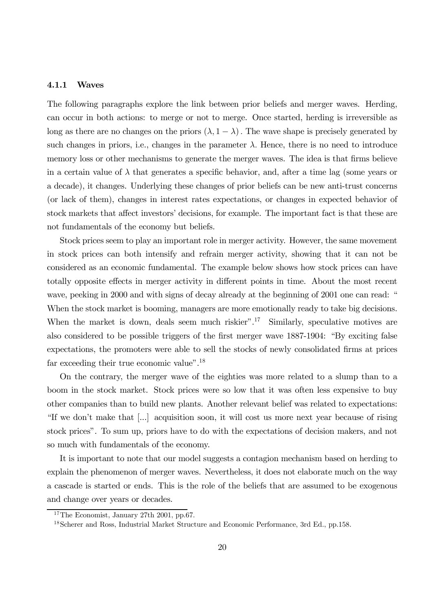#### 4.1.1 Waves

The following paragraphs explore the link between prior beliefs and merger waves. Herding, can occur in both actions: to merge or not to merge. Once started, herding is irreversible as long as there are no changes on the priors  $(\lambda, 1 - \lambda)$ . The wave shape is precisely generated by such changes in priors, i.e., changes in the parameter  $\lambda$ . Hence, there is no need to introduce memory loss or other mechanisms to generate the merger waves. The idea is that firms believe in a certain value of  $\lambda$  that generates a specific behavior, and, after a time lag (some years or a decade), it changes. Underlying these changes of prior beliefs can be new anti-trust concerns (or lack of them), changes in interest rates expectations, or changes in expected behavior of stock markets that affect investors' decisions, for example. The important fact is that these are not fundamentals of the economy but beliefs.

Stock prices seem to play an important role in merger activity. However, the same movement in stock prices can both intensify and refrain merger activity, showing that it can not be considered as an economic fundamental. The example below shows how stock prices can have totally opposite effects in merger activity in different points in time. About the most recent wave, peeking in 2000 and with signs of decay already at the beginning of 2001 one can read: " When the stock market is booming, managers are more emotionally ready to take big decisions. When the market is down, deals seem much riskier".<sup>17</sup> Similarly, speculative motives are also considered to be possible triggers of the first merger wave 1887-1904: "By exciting false expectations, the promoters were able to sell the stocks of newly consolidated firms at prices far exceeding their true economic value".<sup>18</sup>

On the contrary, the merger wave of the eighties was more related to a slump than to a boom in the stock market. Stock prices were so low that it was often less expensive to buy other companies than to build new plants. Another relevant belief was related to expectations: "If we don't make that [...] acquisition soon, it will cost us more next year because of rising stock prices". To sum up, priors have to do with the expectations of decision makers, and not so much with fundamentals of the economy.

It is important to note that our model suggests a contagion mechanism based on herding to explain the phenomenon of merger waves. Nevertheless, it does not elaborate much on the way a cascade is started or ends. This is the role of the beliefs that are assumed to be exogenous and change over years or decades.

<sup>&</sup>lt;sup>17</sup>The Economist, January 27th 2001, pp.67.

<sup>18</sup>Scherer and Ross, Industrial Market Structure and Economic Performance, 3rd Ed., pp.158.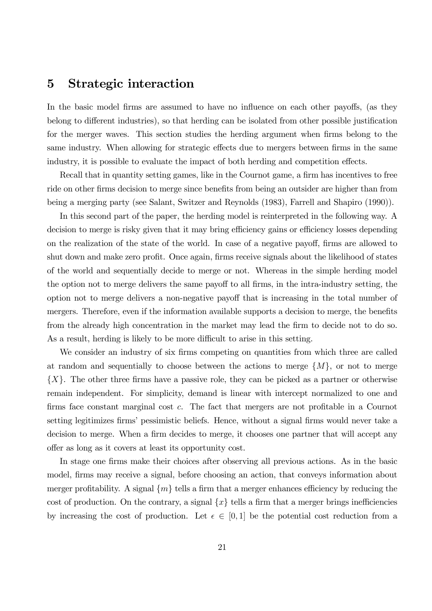# 5 Strategic interaction

In the basic model firms are assumed to have no influence on each other payoffs, (as they belong to different industries), so that herding can be isolated from other possible justification for the merger waves. This section studies the herding argument when firms belong to the same industry. When allowing for strategic effects due to mergers between firms in the same industry, it is possible to evaluate the impact of both herding and competition effects.

Recall that in quantity setting games, like in the Cournot game, a firm has incentives to free ride on other firms decision to merge since benefits from being an outsider are higher than from being a merging party (see Salant, Switzer and Reynolds (1983), Farrell and Shapiro (1990)).

In this second part of the paper, the herding model is reinterpreted in the following way. A decision to merge is risky given that it may bring efficiency gains or efficiency losses depending on the realization of the state of the world. In case of a negative payoff, firms are allowed to shut down and make zero profit. Once again, firms receive signals about the likelihood of states of the world and sequentially decide to merge or not. Whereas in the simple herding model the option not to merge delivers the same payoff to all firms, in the intra-industry setting, the option not to merge delivers a non-negative payoff that is increasing in the total number of mergers. Therefore, even if the information available supports a decision to merge, the benefits from the already high concentration in the market may lead the firm to decide not to do so. As a result, herding is likely to be more difficult to arise in this setting.

We consider an industry of six firms competing on quantities from which three are called at random and sequentially to choose between the actions to merge  $\{M\}$ , or not to merge  $\{X\}$ . The other three firms have a passive role, they can be picked as a partner or otherwise remain independent. For simplicity, demand is linear with intercept normalized to one and firms face constant marginal cost  $c$ . The fact that mergers are not profitable in a Cournot setting legitimizes firms' pessimistic beliefs. Hence, without a signal firms would never take a decision to merge. When a firm decides to merge, it chooses one partner that will accept any offer as long as it covers at least its opportunity cost.

In stage one firms make their choices after observing all previous actions. As in the basic model, firms may receive a signal, before choosing an action, that conveys information about merger profitability. A signal  $\{m\}$  tells a firm that a merger enhances efficiency by reducing the cost of production. On the contrary, a signal  $\{x\}$  tells a firm that a merger brings inefficiencies by increasing the cost of production. Let  $\epsilon \in [0, 1]$  be the potential cost reduction from a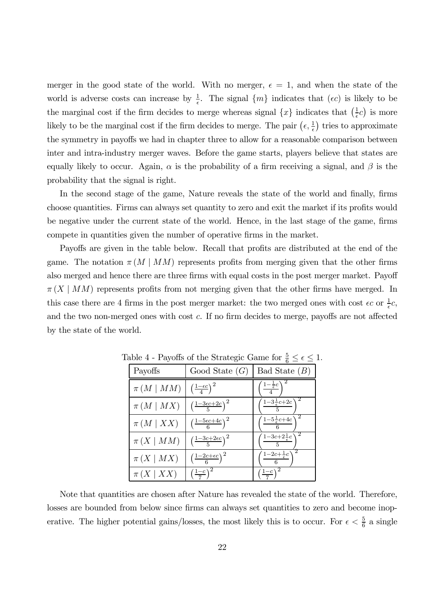merger in the good state of the world. With no merger,  $\epsilon = 1$ , and when the state of the world is adverse costs can increase by  $\frac{1}{6}$  $\frac{1}{\epsilon}$ . The signal  $\{m\}$  indicates that  $(\epsilon c)$  is likely to be the marginal cost if the firm decides to merge whereas signal  $\{x\}$  indicates that  $\left(\frac{1}{\epsilon}\right)$  $\frac{1}{\epsilon}c$  is more likely to be the marginal cost if the firm decides to merge. The pair  $(\epsilon, \frac{1}{\epsilon})$  $\frac{1}{\epsilon}$ ) tries to approximate the symmetry in payoffs we had in chapter three to allow for a reasonable comparison between inter and intra-industry merger waves. Before the game starts, players believe that states are equally likely to occur. Again,  $\alpha$  is the probability of a firm receiving a signal, and  $\beta$  is the probability that the signal is right.

In the second stage of the game, Nature reveals the state of the world and finally, firms choose quantities. Firms can always set quantity to zero and exit the market if its profits would be negative under the current state of the world. Hence, in the last stage of the game, firms compete in quantities given the number of operative firms in the market.

Payoffs are given in the table below. Recall that profits are distributed at the end of the game. The notation  $\pi(M \mid MM)$  represents profits from merging given that the other firms also merged and hence there are three firms with equal costs in the post merger market. Payoff  $\pi(X \mid MM)$  represents profits from not merging given that the other firms have merged. In this case there are 4 firms in the post merger market: the two merged ones with cost  $\epsilon c$  or  $\frac{1}{\epsilon}$  $\frac{1}{\epsilon}c,$ and the two non-merged ones with cost  $c$ . If no firm decides to merge, payoffs are not affected by the state of the world.

| Payoffs          | Good State $(G)$                            | Bad State $(B)$                                                 |
|------------------|---------------------------------------------|-----------------------------------------------------------------|
| $\pi(M \mid MM)$ | $\left(\frac{1-\epsilon c}{4}\right)^2$     | $\frac{1-\frac{1}{\epsilon}c}{\frac{1}{\epsilon}}$              |
| $\pi(M \mid MX)$ | $\left(\frac{1-3\epsilon c+2c}{5}\right)^2$ | $\left( \frac{1-3\frac{1}{\epsilon}c+2c}{\epsilon} \right)$     |
| $\pi(M \mid XX)$ | $\left(\frac{1-5\epsilon c+4c}{6}\right)^2$ | $\left( \frac{1 - 5\frac{1}{\epsilon}c + 4c}{\epsilon} \right)$ |
| $\pi(X \mid MM)$ | $\left(\frac{1-3c+2\epsilon c}{5}\right)^2$ | $\frac{1-3c+2\frac{1}{\epsilon}c}{1-\frac{1}{\epsilon}}$        |
| $\pi(X \mid MX)$ | $\left(\frac{1-2c+\epsilon c}{6}\right)^2$  | $\left( \frac{1-2c+\frac{1}{\epsilon}c}{\epsilon} \right)$      |
| $\pi(X XX)$      | $\left(\frac{1-c}{7}\right)^2$              | $\left(\frac{1-c}{7}\right)^2$                                  |

Table 4 - Payoffs of the Strategic Game for  $\frac{5}{6} \leq \epsilon \leq 1$ .

Note that quantities are chosen after Nature has revealed the state of the world. Therefore, losses are bounded from below since firms can always set quantities to zero and become inoperative. The higher potential gains/losses, the most likely this is to occur. For  $\epsilon < \frac{5}{6}$  $\frac{5}{6}$  a single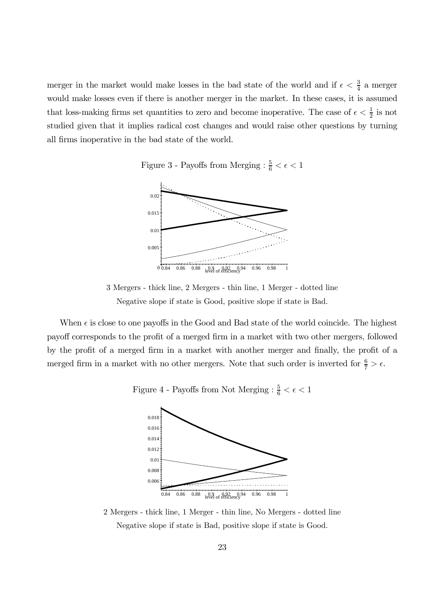merger in the market would make losses in the bad state of the world and if  $\epsilon < \frac{3}{4}$  $\frac{3}{4}$  a merger would make losses even if there is another merger in the market. In these cases, it is assumed that loss-making firms set quantities to zero and become inoperative. The case of  $\epsilon < \frac{1}{2}$  $rac{1}{2}$  is not studied given that it implies radical cost changes and would raise other questions by turning all firms inoperative in the bad state of the world.

Figure 3 - Payoffs from Merging :  $\frac{5}{6} < \epsilon < 1$ 



3 Mergers - thick line, 2 Mergers - thin line, 1 Merger - dotted line Negative slope if state is Good, positive slope if state is Bad.

When  $\epsilon$  is close to one payoffs in the Good and Bad state of the world coincide. The highest payoff corresponds to the profit of a merged firm in a market with two other mergers, followed by the profit of a merged firm in a market with another merger and finally, the profit of a merged firm in a market with no other mergers. Note that such order is inverted for  $\frac{6}{7} > \epsilon$ .

Figure 4 - Payoffs from Not Merging :  $\frac{5}{6} < \epsilon < 1$ 



2 Mergers - thick line, 1 Merger - thin line, No Mergers - dotted line Negative slope if state is Bad, positive slope if state is Good.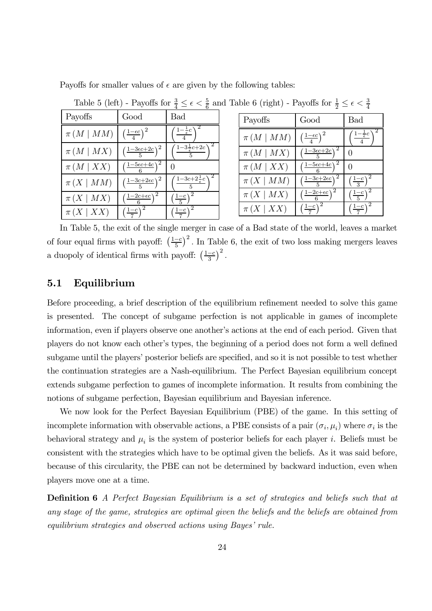Payoffs for smaller values of  $\epsilon$  are given by the following tables:

|                   |                                             | b                                                           |
|-------------------|---------------------------------------------|-------------------------------------------------------------|
| Payoffs           | Good                                        | Bad                                                         |
| $\pi (M \mid MM)$ | $\left(\frac{1-\epsilon c}{4}\right)^2$     | $\left(\frac{1-\frac{1}{\epsilon}c}{\epsilon}\right)$       |
| $\pi(M \mid MX)$  | $\left(\frac{1-3\epsilon c+2c}{5}\right)^2$ | $\left(\frac{1-3\frac{1}{\epsilon}c+2c}{5}\right)$          |
| $\pi(M \mid XX)$  | $\left(\frac{1-5\epsilon c+4c}{c}\right)^2$ |                                                             |
| $\pi(X \mid MM)$  | $\left(\frac{1-3c+2\epsilon c}{5}\right)^2$ | $\left( \frac{1-3c+2\frac{1}{\epsilon}c}{\epsilon} \right)$ |
| $\pi(X \mid MX)$  | $\left(\frac{1-2c+\epsilon c}{6}\right)^2$  | $\left(\frac{1-c}{5}\right)^2$                              |
| $\pi(X \mid XX)$  | $\left(\frac{1-c}{7}\right)^2$              | $\left(\frac{1-c}{7}\right)^2$                              |

Table 5 (left) - Payoffs for  $\frac{3}{4} \leq \epsilon < \frac{5}{6}$  $\frac{5}{6}$  and Table 6 (right) - Payoffs for  $\frac{1}{2} \leq \epsilon < \frac{3}{4}$ 4

| Payoffs           | Good                                            | Bad                                                     |
|-------------------|-------------------------------------------------|---------------------------------------------------------|
| $\pi (M \mid MM)$ | $\left(\frac{1-\epsilon c}{4}\right)^2$         | $\left( \frac{1-\frac{1}{\epsilon}c}{\epsilon} \right)$ |
| $\pi(M \mid MX)$  | $(\frac{1-3\epsilon c+2c}{2})^2$                | ∩                                                       |
| $\pi(M \mid XX)$  | $\left( \frac{1-5\epsilon c+4c}{2} \right)^2$   |                                                         |
| $\pi(X \mid MM)$  | $\left( \frac{1-3c+2\epsilon c}{2} \right)^2$   | $\left(\frac{1-c}{3}\right)^2$                          |
| $\pi(X \mid MX)$  | $\left(\frac{1-2c+\epsilon c}{\epsilon}\right)$ | $\left(\frac{1-c}{5}\right)^2$                          |
| $\pi(X \mid XX)$  | $\left(\frac{1-c}{7}\right)^2$                  | $\left(\frac{1-c}{7}\right)^2$                          |

In Table 5, the exit of the single merger in case of a Bad state of the world, leaves a market of four equal firms with payoff:  $\left(\frac{1-c}{5}\right)^2$ . In Table 6, the exit of two loss making mergers leaves a duopoly of identical firms with payoff:  $\left(\frac{1-c}{3}\right)^2$ .

## 5.1 Equilibrium

Before proceeding, a brief description of the equilibrium refinement needed to solve this game is presented. The concept of subgame perfection is not applicable in games of incomplete information, even if players observe one another's actions at the end of each period. Given that players do not know each other's types, the beginning of a period does not form a well defined subgame until the players' posterior beliefs are specified, and so it is not possible to test whether the continuation strategies are a Nash-equilibrium. The Perfect Bayesian equilibrium concept extends subgame perfection to games of incomplete information. It results from combining the notions of subgame perfection, Bayesian equilibrium and Bayesian inference.

We now look for the Perfect Bayesian Equilibrium (PBE) of the game. In this setting of incomplete information with observable actions, a PBE consists of a pair  $(\sigma_i, \mu_i)$  where  $\sigma_i$  is the behavioral strategy and  $\mu_i$  is the system of posterior beliefs for each player *i*. Beliefs must be consistent with the strategies which have to be optimal given the beliefs. As it was said before, because of this circularity, the PBE can not be determined by backward induction, even when players move one at a time.

**Definition 6** A Perfect Bayesian Equilibrium is a set of strategies and beliefs such that at any stage of the game, strategies are optimal given the beliefs and the beliefs are obtained from equilibrium strategies and observed actions using Bayes' rule.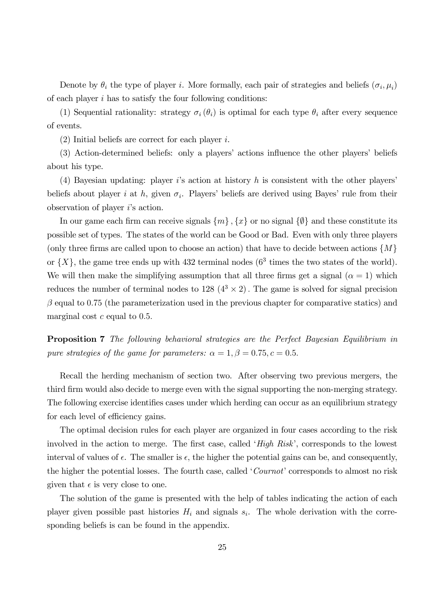Denote by  $\theta_i$  the type of player i. More formally, each pair of strategies and beliefs  $(\sigma_i, \mu_i)$ of each player i has to satisfy the four following conditions:

(1) Sequential rationality: strategy  $\sigma_i(\theta_i)$  is optimal for each type  $\theta_i$  after every sequence of events.

(2) Initial beliefs are correct for each player i.

(3) Action-determined beliefs: only a players' actions influence the other players' beliefs about his type.

(4) Bayesian updating: player is action at history h is consistent with the other players' beliefs about player *i* at *h*, given  $\sigma_i$ . Players' beliefs are derived using Bayes' rule from their observation of player i's action.

In our game each firm can receive signals  $\{m\}$ ,  $\{x\}$  or no signal  $\{\emptyset\}$  and these constitute its possible set of types. The states of the world can be Good or Bad. Even with only three players (only three firms are called upon to choose an action) that have to decide between actions  $\{M\}$ or  $\{X\}$ , the game tree ends up with 432 terminal nodes ( $6<sup>3</sup>$  times the two states of the world). We will then make the simplifying assumption that all three firms get a signal ( $\alpha = 1$ ) which reduces the number of terminal nodes to  $128 \left(4^3 \times 2\right)$ . The game is solved for signal precision  $\beta$  equal to 0.75 (the parameterization used in the previous chapter for comparative statics) and marginal cost  $c$  equal to 0.5.

Proposition 7 The following behavioral strategies are the Perfect Bayesian Equilibrium in pure strategies of the game for parameters:  $\alpha = 1, \beta = 0.75, c = 0.5$ .

Recall the herding mechanism of section two. After observing two previous mergers, the third firm would also decide to merge even with the signal supporting the non-merging strategy. The following exercise identifies cases under which herding can occur as an equilibrium strategy for each level of efficiency gains.

The optimal decision rules for each player are organized in four cases according to the risk involved in the action to merge. The first case, called ' $High Risk'$ , corresponds to the lowest interval of values of  $\epsilon$ . The smaller is  $\epsilon$ , the higher the potential gains can be, and consequently, the higher the potential losses. The fourth case, called 'Cournot' corresponds to almost no risk given that  $\epsilon$  is very close to one.

The solution of the game is presented with the help of tables indicating the action of each player given possible past histories  $H_i$  and signals  $s_i$ . The whole derivation with the corresponding beliefs is can be found in the appendix.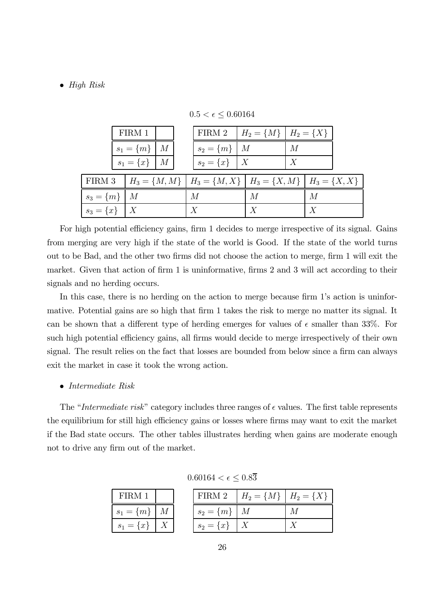#### $\bullet$  High Risk

|                      | FIRM 1               |  | FIRM 2 $H_2 = \{M\}$ $H_2 = \{X\}$                                  |                  |   |   |  |
|----------------------|----------------------|--|---------------------------------------------------------------------|------------------|---|---|--|
|                      | $s_1 = \{m\} \mid M$ |  | $s_2 = \{m\}$   M                                                   |                  | М |   |  |
|                      | $s_1 = \{x\}$   M    |  | $s_2 = \{x\}$   X                                                   |                  |   |   |  |
| FIRM 3               |                      |  | $H_3 = \{M, M\}$ $H_3 = \{M, X\}$ $H_3 = \{X, M\}$ $H_3 = \{X, X\}$ |                  |   |   |  |
| $s_3 = \{m\} \mid M$ |                      |  | М                                                                   | М                |   | М |  |
| $s_3 = \{x\}$   X    |                      |  | X                                                                   | $\boldsymbol{X}$ |   | X |  |

 $0.5 < \epsilon \leq 0.60164$ 

For high potential efficiency gains, firm 1 decides to merge irrespective of its signal. Gains from merging are very high if the state of the world is Good. If the state of the world turns out to be Bad, and the other two firms did not choose the action to merge, firm 1 will exit the market. Given that action of firm 1 is uninformative, firms 2 and 3 will act according to their signals and no herding occurs.

In this case, there is no herding on the action to merge because firm 1's action is uninformative. Potential gains are so high that firm 1 takes the risk to merge no matter its signal. It can be shown that a different type of herding emerges for values of  $\epsilon$  smaller than 33%. For such high potential efficiency gains, all firms would decide to merge irrespectively of their own signal. The result relies on the fact that losses are bounded from below since a firm can always exit the market in case it took the wrong action.

### $\bullet$  Intermediate Risk

The "Intermediate risk" category includes three ranges of  $\epsilon$  values. The first table represents the equilibrium for still high efficiency gains or losses where firms may want to exit the market if the Bad state occurs. The other tables illustrates herding when gains are moderate enough not to drive any firm out of the market.

 $0.60164 < \epsilon \leq 0.8\overline{3}$ 

| FIRM 1               |  |                            | FIRM 2   $H_2 = \{M\}$   $H_2 = \{X\}$ |  |
|----------------------|--|----------------------------|----------------------------------------|--|
| $s_1 = \{m\} \mid M$ |  | $\perp s_2 = \{m\} \mid M$ |                                        |  |
| $s_1 = \{x\}$   X    |  | $s_2 = \{x\}$   X          |                                        |  |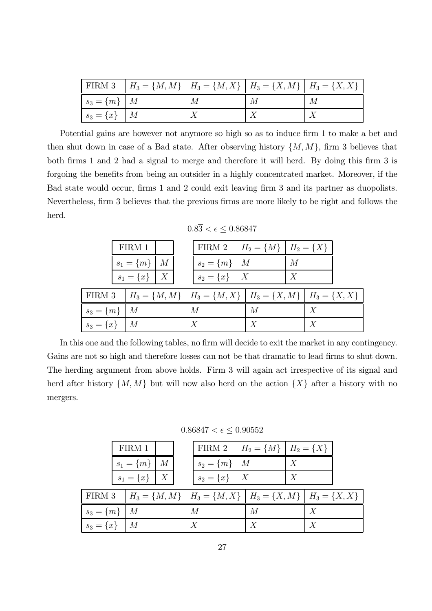|                   | FIRM 3 $H_3 = \{M, M\}$ $H_3 = \{M, X\}$ $H_3 = \{X, M\}$ $H_3 = \{X, X\}$ |   |   |   |
|-------------------|----------------------------------------------------------------------------|---|---|---|
| $s_3 = \{m\}$   M |                                                                            | М | М | М |
| $s_3 = \{x\}$   M |                                                                            |   |   |   |

Potential gains are however not anymore so high so as to induce firm 1 to make a bet and then shut down in case of a Bad state. After observing history  $\{M, M\}$ , firm 3 believes that both firms 1 and 2 had a signal to merge and therefore it will herd. By doing this firm  $3$  is forgoing the benefits from being an outsider in a highly concentrated market. Moreover, if the Bad state would occur, firms 1 and 2 could exit leaving firm 3 and its partner as duopolists. Nevertheless, firm 3 believes that the previous firms are more likely to be right and follows the herd.

 $0.8\overline{3} < \epsilon \leq 0.86847$ 

|                   | FIRM 1               |  | FIRM 2   $H_2 = \{M\}$   $H_2 = \{X\}$                              |                  |   |                  |  |
|-------------------|----------------------|--|---------------------------------------------------------------------|------------------|---|------------------|--|
|                   | $s_1 = \{m\} \mid M$ |  | $s_2 = \{m\}$   M                                                   |                  | M |                  |  |
|                   | $s_1 = \{x\}$   X    |  | $s_2 = \{x\}$   X                                                   |                  |   |                  |  |
| FIRM 3            |                      |  | $H_3 = \{M, M\}$ $H_3 = \{M, X\}$ $H_3 = \{X, M\}$ $H_3 = \{X, X\}$ |                  |   |                  |  |
| $s_3 = \{m\}$   M |                      |  | М                                                                   | M                |   | $\boldsymbol{X}$ |  |
| $s_3 = \{x\}$   M |                      |  |                                                                     | $\boldsymbol{X}$ |   |                  |  |

In this one and the following tables, no firm will decide to exit the market in any contingency. Gains are not so high and therefore losses can not be that dramatic to lead firms to shut down. The herding argument from above holds. Firm 3 will again act irrespective of its signal and herd after history  $\{M, M\}$  but will now also herd on the action  $\{X\}$  after a history with no mergers.

 $0.86847 < \epsilon \leq 0.90552$ 

|                   | FIRM 1               |  | FIRM 2   $H_2 = \{M\}$   $H_2 = \{X\}$                                             |   |   |                  |  |
|-------------------|----------------------|--|------------------------------------------------------------------------------------|---|---|------------------|--|
|                   | $s_1 = \{m\} \mid M$ |  | $s_2 = \{m\}$   M                                                                  |   | X |                  |  |
|                   | $s_1 = \{x\}$   X    |  | $s_2 = \{x\}$   X                                                                  |   |   |                  |  |
|                   |                      |  | FIRM 3   $H_3 = \{M, M\}$   $H_3 = \{M, X\}$   $H_3 = \{X, M\}$   $H_3 = \{X, X\}$ |   |   |                  |  |
| $s_3 = \{m\}$   M |                      |  | М                                                                                  | M |   | $\boldsymbol{X}$ |  |
| $s_3 = \{x\}$   M |                      |  | $\boldsymbol{X}$                                                                   | X |   |                  |  |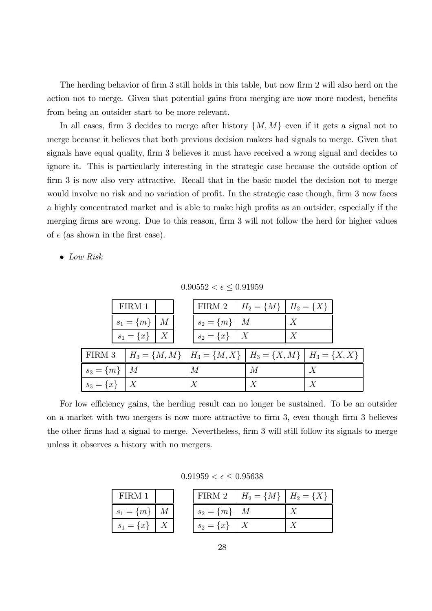The herding behavior of firm 3 still holds in this table, but now firm 2 will also herd on the action not to merge. Given that potential gains from merging are now more modest, benefits from being an outsider start to be more relevant.

In all cases, firm 3 decides to merge after history  $\{M, M\}$  even if it gets a signal not to merge because it believes that both previous decision makers had signals to merge. Given that signals have equal quality, firm 3 believes it must have received a wrong signal and decides to ignore it. This is particularly interesting in the strategic case because the outside option of firm 3 is now also very attractive. Recall that in the basic model the decision not to merge would involve no risk and no variation of profit. In the strategic case though, firm 3 now faces a highly concentrated market and is able to make high profits as an outsider, especially if the merging firms are wrong. Due to this reason, firm 3 will not follow the herd for higher values of  $\epsilon$  (as shown in the first case).

 $\bullet$  Low Risk

 $0.90552 < \epsilon \leq 0.91959$ 

|                   | FIRM 1               |  | FIRM 2   $H_2 = \{M\}$   $H_2 = \{X\}$                              |   |   |                  |  |
|-------------------|----------------------|--|---------------------------------------------------------------------|---|---|------------------|--|
|                   | $s_1 = \{m\} \mid M$ |  | $s_2 = \{m\}$   M                                                   |   | X |                  |  |
|                   | $s_1 = \{x\}$   X    |  | $s_2 = \{x\}$   X                                                   |   | X |                  |  |
| FIRM 3            |                      |  | $H_3 = \{M, M\}$ $H_3 = \{M, X\}$ $H_3 = \{X, M\}$ $H_3 = \{X, X\}$ |   |   |                  |  |
| $s_3 = \{m\}$   M |                      |  | М                                                                   | М |   |                  |  |
| $s_3 = \{x\}$   X |                      |  | $\boldsymbol{X}$                                                    | X |   | $\boldsymbol{X}$ |  |

For low efficiency gains, the herding result can no longer be sustained. To be an outsider on a market with two mergers is now more attractive to firm 3, even though firm 3 believes the other firms had a signal to merge. Nevertheless, firm 3 will still follow its signals to merge unless it observes a history with no mergers.

 $0.91959 < \epsilon \leq 0.95638$ 

| FIRM 1               |  |                   | FIRM 2   $H_2 = \{M\}$   $H_2 = \{X\}$ |  |
|----------------------|--|-------------------|----------------------------------------|--|
| $s_1 = \{m\} \mid M$ |  | $s_2 = \{m\}$   M |                                        |  |
| $s_1 = \{x\}$   X    |  | $s_2 = \{x\}$   X |                                        |  |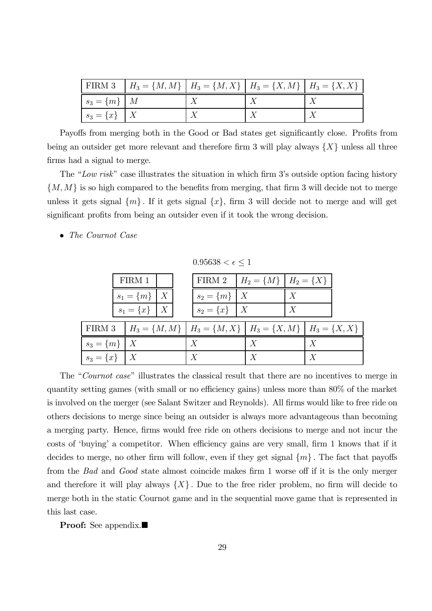|                   | FIRM 3 $\left  H_3 = \{M, M\} \right  H_3 = \{M, X\}$ $\left  H_3 = \{X, M\} \right  H_3 = \{X, X\}$ |  |  |
|-------------------|------------------------------------------------------------------------------------------------------|--|--|
| $s_3 = \{m\}$   M |                                                                                                      |  |  |
| $s_3 = \{x\}$   X |                                                                                                      |  |  |

Payoffs from merging both in the Good or Bad states get significantly close. Profits from being an outsider get more relevant and therefore firm 3 will play always  $\{X\}$  unless all three firms had a signal to merge.

The "Low risk" case illustrates the situation in which firm 3's outside option facing history  $\{M, M\}$  is so high compared to the benefits from merging, that firm 3 will decide not to merge unless it gets signal  $\{m\}$ . If it gets signal  $\{x\}$ , firm 3 will decide not to merge and will get significant profits from being an outsider even if it took the wrong decision.

• The Cournot Case

 $0.95638 < \epsilon \leq 1$ 

|                   | FIRM 1               |  | FIRM 2   $H_2 = \{M\}$   $H_2 = \{X\}$                              |                  |                  |  |
|-------------------|----------------------|--|---------------------------------------------------------------------|------------------|------------------|--|
|                   | $s_1 = \{m\} \mid X$ |  | $s_2 = \{m\}$   X                                                   |                  |                  |  |
|                   | $s_1 = \{x\}$   X    |  | $s_2 = \{x\}$   X                                                   |                  |                  |  |
| FIRM 3            |                      |  | $H_3 = \{M, M\}$ $H_3 = \{M, X\}$ $H_3 = \{X, M\}$ $H_3 = \{X, X\}$ |                  |                  |  |
| $s_3 = \{m\}   X$ |                      |  |                                                                     | $\boldsymbol{X}$ |                  |  |
| $s_3 = \{x\}$   X |                      |  | $\boldsymbol{X}$                                                    | $\boldsymbol{X}$ | $\boldsymbol{X}$ |  |

The "Cournot case" illustrates the classical result that there are no incentives to merge in quantity setting games (with small or no efficiency gains) unless more than  $80\%$  of the market is involved on the merger (see Salant Switzer and Reynolds). All firms would like to free ride on others decisions to merge since being an outsider is always more advantageous than becoming a merging party. Hence, firms would free ride on others decisions to merge and not incur the costs of 'buying' a competitor. When efficiency gains are very small, firm 1 knows that if it decides to merge, no other firm will follow, even if they get signal  $\{m\}$ . The fact that payoffs from the *Bad* and *Good* state almost coincide makes firm 1 worse off if it is the only merger and therefore it will play always  $\{X\}$ . Due to the free rider problem, no firm will decide to merge both in the static Cournot game and in the sequential move game that is represented in this last case.

**Proof:** See appendix. $\blacksquare$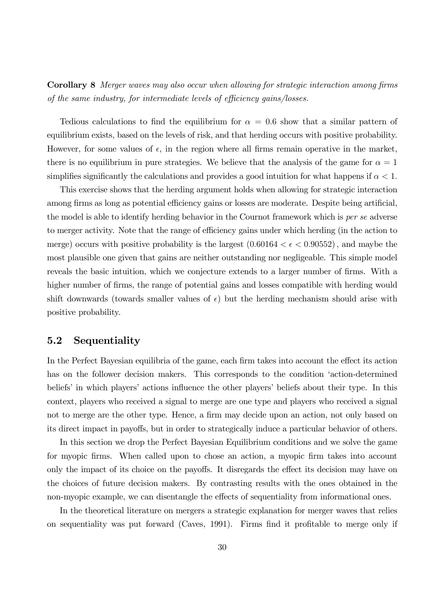**Corollary 8** Merger waves may also occur when allowing for strategic interaction among firms of the same industry, for intermediate levels of efficiency gains/losses.

Tedious calculations to find the equilibrium for  $\alpha = 0.6$  show that a similar pattern of equilibrium exists, based on the levels of risk, and that herding occurs with positive probability. However, for some values of  $\epsilon$ , in the region where all firms remain operative in the market, there is no equilibrium in pure strategies. We believe that the analysis of the game for  $\alpha = 1$ simplifies significantly the calculations and provides a good intuition for what happens if  $\alpha < 1$ .

This exercise shows that the herding argument holds when allowing for strategic interaction among firms as long as potential efficiency gains or losses are moderate. Despite being artificial, the model is able to identify herding behavior in the Cournot framework which is *per se* adverse to merger activity. Note that the range of efficiency gains under which herding (in the action to merge) occurs with positive probability is the largest  $(0.60164 < \epsilon < 0.90552)$ , and maybe the most plausible one given that gains are neither outstanding nor negligeable. This simple model reveals the basic intuition, which we conjecture extends to a larger number of firms. With a higher number of firms, the range of potential gains and losses compatible with herding would shift downwards (towards smaller values of  $\epsilon$ ) but the herding mechanism should arise with positive probability.

## 5.2 Sequentiality

In the Perfect Bayesian equilibria of the game, each firm takes into account the effect its action has on the follower decision makers. This corresponds to the condition 'action-determined beliefs' in which players' actions influence the other players' beliefs about their type. In this context, players who received a signal to merge are one type and players who received a signal not to merge are the other type. Hence, a firm may decide upon an action, not only based on its direct impact in payoffs, but in order to strategically induce a particular behavior of others.

In this section we drop the Perfect Bayesian Equilibrium conditions and we solve the game for myopic firms. When called upon to chose an action, a myopic firm takes into account only the impact of its choice on the payoffs. It disregards the effect its decision may have on the choices of future decision makers. By contrasting results with the ones obtained in the non-myopic example, we can disentangle the effects of sequentiality from informational ones.

In the theoretical literature on mergers a strategic explanation for merger waves that relies on sequentiality was put forward (Caves, 1991). Firms find it profitable to merge only if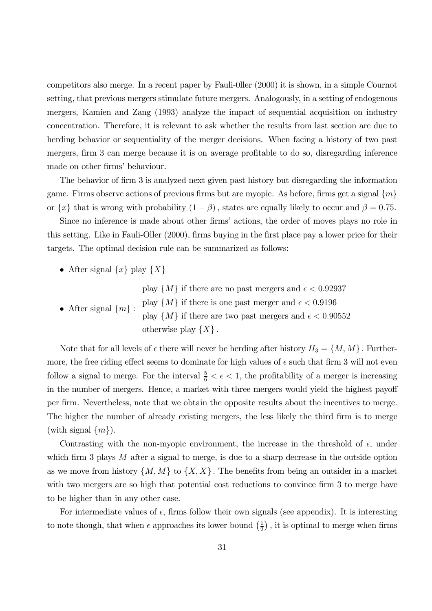competitors also merge. In a recent paper by Fauli-0ller (2000) it is shown, in a simple Cournot setting, that previous mergers stimulate future mergers. Analogously, in a setting of endogenous mergers, Kamien and Zang (1993) analyze the impact of sequential acquisition on industry concentration. Therefore, it is relevant to ask whether the results from last section are due to herding behavior or sequentiality of the merger decisions. When facing a history of two past mergers, firm 3 can merge because it is on average profitable to do so, disregarding inference made on other firms' behaviour.

The behavior of firm 3 is analyzed next given past history but disregarding the information game. Firms observe actions of previous firms but are myopic. As before, firms get a signal  $\{m\}$ or  $\{x\}$  that is wrong with probability  $(1 - \beta)$ , states are equally likely to occur and  $\beta = 0.75$ .

Since no inference is made about other firms' actions, the order of moves plays no role in this setting. Like in Fauli-Oller  $(2000)$ , firms buying in the first place pay a lower price for their targets. The optimal decision rule can be summarized as follows:

• After signal  $\{x\}$  play  $\{X\}$ 

play  $\{M\}$  if there are no past mergers and  $\epsilon < 0.92937$ 

• After signal  $\{m\}$ : play  $\{M\}$  if there is one past merger and  $\epsilon < 0.9196$ play  $\{M\}$  if there are two past mergers and  $\epsilon < 0.90552$ otherwise play  $\{X\}$ .

Note that for all levels of  $\epsilon$  there will never be herding after history  $H_3 = \{M, M\}$ . Furthermore, the free riding effect seems to dominate for high values of  $\epsilon$  such that firm 3 will not even follow a signal to merge. For the interval  $\frac{5}{6} < \epsilon < 1$ , the profitability of a merger is increasing in the number of mergers. Hence, a market with three mergers would yield the highest payoff per firm. Nevertheless, note that we obtain the opposite results about the incentives to merge. The higher the number of already existing mergers, the less likely the third firm is to merge (with signal  $\{m\}$ ).

Contrasting with the non-myopic environment, the increase in the threshold of  $\epsilon$ , under which firm 3 plays  $M$  after a signal to merge, is due to a sharp decrease in the outside option as we move from history  $\{M, M\}$  to  $\{X, X\}$ . The benefits from being an outsider in a market with two mergers are so high that potential cost reductions to convince firm  $3$  to merge have to be higher than in any other case.

For intermediate values of  $\epsilon$ , firms follow their own signals (see appendix). It is interesting to note though, that when  $\epsilon$  approaches its lower bound  $\left(\frac{1}{2}\right)$  $(\frac{1}{2})$ , it is optimal to merge when firms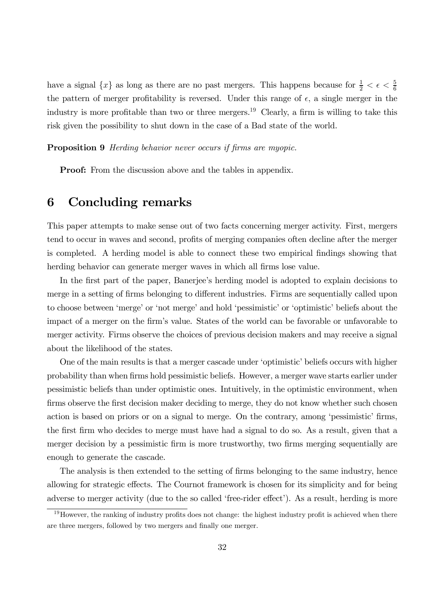have a signal  $\{x\}$  as long as there are no past mergers. This happens because for  $\frac{1}{2} < \epsilon < \frac{5}{6}$ 6 the pattern of merger profitability is reversed. Under this range of  $\epsilon$ , a single merger in the industry is more profitable than two or three mergers.<sup>19</sup> Clearly, a firm is willing to take this risk given the possibility to shut down in the case of a Bad state of the world.

**Proposition 9** Herding behavior never occurs if firms are myopic.

**Proof:** From the discussion above and the tables in appendix.

# 6 Concluding remarks

This paper attempts to make sense out of two facts concerning merger activity. First, mergers tend to occur in waves and second, profits of merging companies often decline after the merger is completed. A herding model is able to connect these two empirical findings showing that herding behavior can generate merger waves in which all firms lose value.

In the first part of the paper, Banerjee's herding model is adopted to explain decisions to merge in a setting of firms belonging to different industries. Firms are sequentially called upon to choose between 'merge' or 'not merge' and hold 'pessimistic' or 'optimistic' beliefs about the impact of a merger on the firm's value. States of the world can be favorable or unfavorable to merger activity. Firms observe the choices of previous decision makers and may receive a signal about the likelihood of the states.

One of the main results is that a merger cascade under 'optimistic' beliefs occurs with higher probability than when firms hold pessimistic beliefs. However, a merger wave starts earlier under pessimistic beliefs than under optimistic ones. Intuitively, in the optimistic environment, when firms observe the first decision maker deciding to merge, they do not know whether such chosen action is based on priors or on a signal to merge. On the contrary, among 'pessimistic' firms, the first firm who decides to merge must have had a signal to do so. As a result, given that a merger decision by a pessimistic firm is more trustworthy, two firms merging sequentially are enough to generate the cascade.

The analysis is then extended to the setting of firms belonging to the same industry, hence allowing for strategic effects. The Cournot framework is chosen for its simplicity and for being adverse to merger activity (due to the so called 'free-rider effect'). As a result, herding is more

 $19$ However, the ranking of industry profits does not change: the highest industry profit is achieved when there are three mergers, followed by two mergers and finally one merger.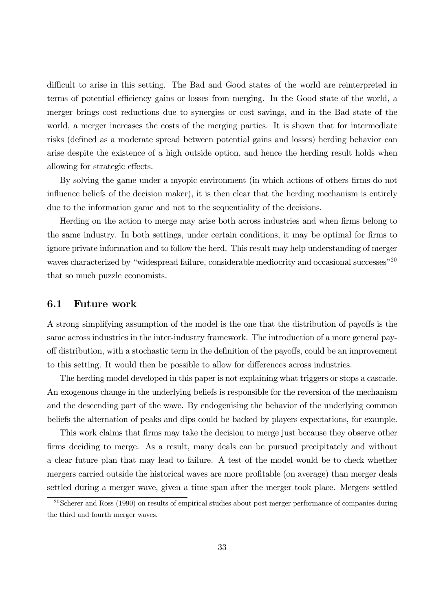difficult to arise in this setting. The Bad and Good states of the world are reinterpreted in terms of potential efficiency gains or losses from merging. In the Good state of the world, a merger brings cost reductions due to synergies or cost savings, and in the Bad state of the world, a merger increases the costs of the merging parties. It is shown that for intermediate risks (defined as a moderate spread between potential gains and losses) herding behavior can arise despite the existence of a high outside option, and hence the herding result holds when allowing for strategic effects.

By solving the game under a myopic environment (in which actions of others firms do not influence beliefs of the decision maker), it is then clear that the herding mechanism is entirely due to the information game and not to the sequentiality of the decisions.

Herding on the action to merge may arise both across industries and when firms belong to the same industry. In both settings, under certain conditions, it may be optimal for firms to ignore private information and to follow the herd. This result may help understanding of merger waves characterized by "widespread failure, considerable mediocrity and occasional successes"<sup>20</sup> that so much puzzle economists.

### 6.1 Future work

A strong simplifying assumption of the model is the one that the distribution of payoffs is the same across industries in the inter-industry framework. The introduction of a more general payoff distribution, with a stochastic term in the definition of the payoffs, could be an improvement to this setting. It would then be possible to allow for differences across industries.

The herding model developed in this paper is not explaining what triggers or stops a cascade. An exogenous change in the underlying beliefs is responsible for the reversion of the mechanism and the descending part of the wave. By endogenising the behavior of the underlying common beliefs the alternation of peaks and dips could be backed by players expectations, for example.

This work claims that firms may take the decision to merge just because they observe other firms deciding to merge. As a result, many deals can be pursued precipitately and without a clear future plan that may lead to failure. A test of the model would be to check whether mergers carried outside the historical waves are more profitable (on average) than merger deals settled during a merger wave, given a time span after the merger took place. Mergers settled

 $20$ Scherer and Ross (1990) on results of empirical studies about post merger performance of companies during the third and fourth merger waves.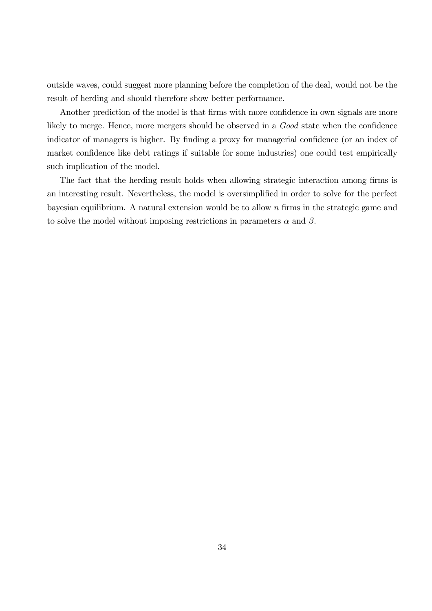outside waves, could suggest more planning before the completion of the deal, would not be the result of herding and should therefore show better performance.

Another prediction of the model is that firms with more confidence in own signals are more likely to merge. Hence, more mergers should be observed in a  $Good$  state when the confidence indicator of managers is higher. By finding a proxy for managerial confidence (or an index of market confidence like debt ratings if suitable for some industries) one could test empirically such implication of the model.

The fact that the herding result holds when allowing strategic interaction among firms is an interesting result. Nevertheless, the model is oversimplified in order to solve for the perfect bayesian equilibrium. A natural extension would be to allow  $n$  firms in the strategic game and to solve the model without imposing restrictions in parameters  $\alpha$  and  $\beta$ .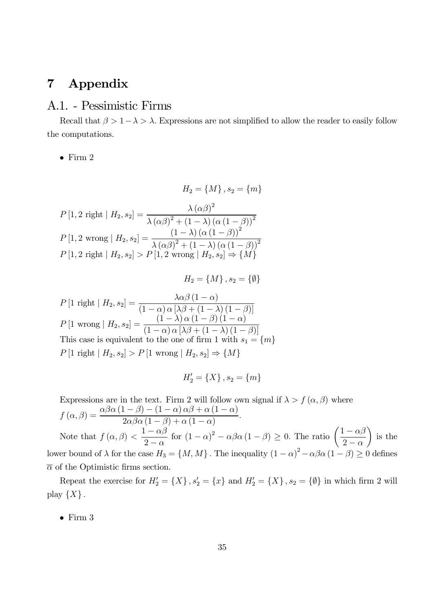# 7 Appendix

## A.1. - Pessimistic Firms

Recall that  $\beta > 1 - \lambda > \lambda$ . Expressions are not simplified to allow the reader to easily follow the computations.

 $\bullet$  Firm 2

 $H_2 = \{M\}, s_2 = \{m\}$  $P[1, 2 \text{ right} | H_2, s_2] = \frac{\lambda (\alpha \beta)^2}{\lambda (\alpha \beta)^2 + (1 - \lambda)}$  $\lambda (\alpha \beta)^2 + (1 - \lambda) (\alpha (1 - \beta))^2$  $P[1, 2 \text{ wrong} | H_2, s_2] = \frac{(1 - \lambda) (\alpha (1 - \beta))^2}{\lambda (\alpha \beta)^2 + (1 - \lambda) (\alpha (1 - \beta))^2}$  $\lambda (\alpha \beta)^2 + (1 - \lambda) (\alpha (1 - \beta))^2$  $P[1, 2 \text{ right} | H_2, s_2] > P[1, 2 \text{ wrong} | H_2, s_2] \Rightarrow \{M\}$ 

 $H_2 = \{M\}, s_2 = \{\emptyset\}$ 

 $P\left[1 \text{ right} \mid H_2, s_2\right] = \frac{\lambda \alpha \beta \left(1 - \alpha\right)}{\left(1 - \alpha\right) \alpha \left[\lambda \beta + \left(1 - \alpha\right)\right]}$  $(1 - \alpha) \alpha \left[ \lambda \beta + (1 - \lambda) (1 - \beta) \right]$  $P\left[1 \text{ wrong} \mid H_2, s_2\right] = \frac{\left(1-\lambda\right) \alpha \left(1-\beta\right) \left(1-\alpha\right)}{\left(1-\alpha\right) \alpha \left[\lambda \beta + \left(1-\lambda\right) \left(1-\beta\right)\right]}$  $(1 - \alpha) \alpha [\lambda \beta + (1 - \lambda) (1 - \beta)]$ This case is equivalent to the one of firm 1 with  $s_1 = \{m\}$  $P [1 \text{ right} | H_2, s_2] > P [1 \text{ wrong} | H_2, s_2] \Rightarrow \{M\}$ 

$$
H_2' = \{X\}, s_2 = \{m\}
$$

Expressions are in the text. Firm 2 will follow own signal if  $\lambda > f(\alpha, \beta)$  where  $f(\alpha, \beta) = \frac{\alpha \beta \alpha (1-\beta) - (1-\alpha) \alpha \beta + \alpha (1-\alpha)}{2 \alpha (1-\beta) + (1-\alpha)}$  $2\alpha\beta\alpha\left(1-\beta\right)+\alpha\left(1-\alpha\right)$ : Note that  $f(\alpha, \beta) < \frac{1-\alpha\beta}{2}$  $2 - \alpha$ for  $(1 - \alpha)^2 - \alpha \beta \alpha (1 - \beta) \ge 0$ . The ratio  $\left(\frac{1 - \alpha \beta}{2 - \alpha}\right)$  $2 - \alpha$  $\setminus$ is the lower bound of  $\lambda$  for the case  $H_3 = \{M, M\}$ . The inequality  $(1 - \alpha)^2 - \alpha \beta \alpha (1 - \beta) \ge 0$  defines  $\bar{\alpha}$  of the Optimistic firms section.

Repeat the exercise for  $H_2' = \{X\}$ ,  $s_2' = \{x\}$  and  $H_2' = \{X\}$ ,  $s_2 = \{\emptyset\}$  in which firm 2 will play  $\{X\}$ .

 $\bullet$  Firm 3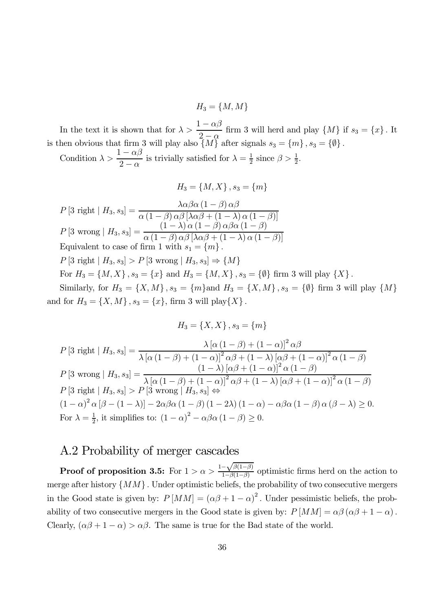$H_3 = \{M, M\}$ 

In the text it is shown that for  $\lambda > \frac{1-\alpha\beta}{2}$  $2-\alpha$ firm 3 will herd and play  $\{M\}$  if  $s_3 = \{x\}$ . It is then obvious that firm 3 will play also  $\{M\}$  after signals  $s_3 = \{m\}, s_3 = \{\emptyset\}.$ 

Condition  $\lambda > \frac{1-\alpha\beta}{2}$  $2 - \alpha$ is trivially satisfied for  $\lambda = \frac{1}{2}$  $\frac{1}{2}$  since  $\beta > \frac{1}{2}$  $\frac{1}{2}$ .

$$
H_3 = \{M, X\}, s_3 = \{m\}
$$

 $P[3 \text{ right} | H_3, s_3] = \frac{\lambda \alpha \beta \alpha (1 - \beta) \alpha \beta}{\alpha (1 - \beta) \alpha \beta [\lambda \alpha \beta + (1 - \lambda)]}$  $\alpha(1-\beta)\alpha\beta[\lambda\alpha\beta+(1-\lambda)\alpha(1-\beta)]$  $P[3 \text{ wrong} | H_3, s_3] = \frac{(1-\lambda) \alpha (1-\beta) \alpha \beta \alpha (1-\beta)}{\alpha (1-\beta) \alpha \beta [\lambda \alpha \beta + (1-\lambda) \alpha (1-\beta)]}$  $\alpha (1-\beta) \alpha \beta [\lambda \alpha \beta + (1-\lambda) \alpha (1-\beta)]$ Equivalent to case of firm 1 with  $s_1 = \{m\}$ .  $P[3 \text{ right} | H_3, s_3] > P[3 \text{ wrong} | H_3, s_3] \Rightarrow \{M\}$ For  $H_3 = \{M, X\}$ ,  $s_3 = \{x\}$  and  $H_3 = \{M, X\}$ ,  $s_3 = \{\emptyset\}$  firm 3 will play  $\{X\}$ . Similarly, for  $H_3 = \{X, M\}$ ,  $s_3 = \{m\}$  and  $H_3 = \{X, M\}$ ,  $s_3 = \{\emptyset\}$  firm 3 will play  $\{M\}$ 

and for  $H_3 = \{X, M\}$ ,  $s_3 = \{x\}$ , firm 3 will play $\{X\}$ .

$$
H_3 = \{X, X\}, s_3 = \{m\}
$$
  
\n
$$
P[3 \text{ right} | H_3, s_3] = \frac{\lambda [\alpha (1 - \beta) + (1 - \alpha)]^2 \alpha \beta}{\lambda [\alpha (1 - \beta) + (1 - \alpha)]^2 \alpha \beta + (1 - \lambda) [\alpha \beta + (1 - \alpha)]^2 \alpha (1 - \beta)}
$$
  
\n
$$
P[3 \text{ wrong} | H_3, s_3] = \frac{(1 - \lambda) [\alpha \beta + (1 - \alpha)]^2 \alpha (1 - \beta)}{\lambda [\alpha (1 - \beta) + (1 - \alpha)]^2 \alpha \beta + (1 - \lambda) [\alpha \beta + (1 - \alpha)]^2 \alpha (1 - \beta)}
$$
  
\n
$$
P[3 \text{ right} | H_3, s_3] > P[3 \text{ wrong} | H_3, s_3] \Leftrightarrow
$$
  
\n
$$
(1 - \alpha)^2 \alpha [\beta - (1 - \lambda)] - 2\alpha \beta \alpha (1 - \beta) (1 - 2\lambda) (1 - \alpha) - \alpha \beta \alpha (1 - \beta) \alpha (\beta - \lambda) \ge 0.
$$
  
\nFor  $\lambda = \frac{1}{2}$ , it simplifies to:  $(1 - \alpha)^2 - \alpha \beta \alpha (1 - \beta) \ge 0$ .

# A.2 Probability of merger cascades

**Proof of proposition 3.5:** For  $1 > \alpha > \frac{1-\sqrt{\beta(1-\beta)}}{1-\beta(1-\beta)}$  $\frac{-\sqrt{\beta(1-\beta)}}{1-\beta(1-\beta)}$  optimistic firms herd on the action to merge after history  $\{MM\}$ . Under optimistic beliefs, the probability of two consecutive mergers in the Good state is given by:  $P[MM] = (\alpha \beta + 1 - \alpha)^2$ . Under pessimistic beliefs, the probability of two consecutive mergers in the Good state is given by:  $P[MM] = \alpha\beta(\alpha\beta + 1 - \alpha)$ . Clearly,  $(\alpha\beta + 1 - \alpha) > \alpha\beta$ . The same is true for the Bad state of the world.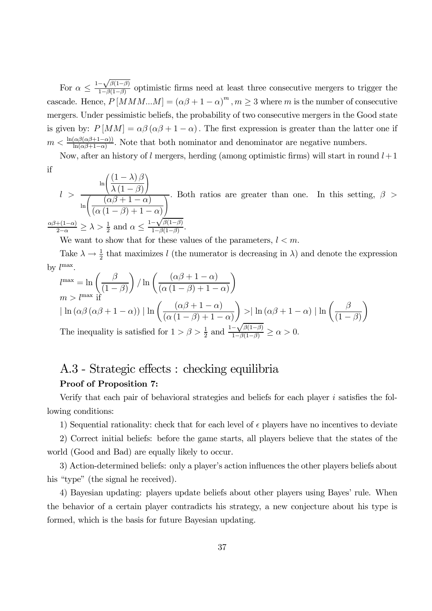For  $\alpha \leq \frac{1-\sqrt{\beta(1-\beta)}}{1-\beta(1-\beta)}$  $\frac{-\sqrt{\rho(1-\rho)}}{1-\beta(1-\beta)}$  optimistic firms need at least three consecutive mergers to trigger the cascade. Hence,  $P[MMM...M] = (\alpha\beta + 1 - \alpha)^m$ ,  $m \ge 3$  where m is the number of consecutive mergers: Under pessimistic beliefs, the probability of two consecutive mergers in the Good state is given by:  $P[MM] = \alpha\beta(\alpha\beta + 1 - \alpha)$ . The first expression is greater than the latter one if  $m < \frac{\ln(\alpha\beta(\alpha\beta+1-\alpha))}{\ln(\alpha\beta+1-\alpha)}$  $\frac{\alpha p(\alpha p+1-\alpha)}{\ln(\alpha p+1-\alpha)}$ . Note that both nominator and denominator are negative numbers.

Now, after an history of l mergers, herding (among optimistic firms) will start in round  $l+1$ if

$$
l > \frac{\ln\left(\frac{(1-\lambda)\beta}{\lambda(1-\beta)}\right)}{\ln\left(\frac{(\alpha\beta+1-\alpha)}{(\alpha(1-\beta)+1-\alpha)}\right)}
$$
. Both ratios are greater than one. In this setting,  $\beta >$   

$$
\frac{\alpha\beta+(1-\alpha)}{2-\alpha} \ge \lambda > \frac{1}{2}
$$
 and  $\alpha \le \frac{1-\sqrt{\beta(1-\beta)}}{1-\beta(1-\beta)}$ .

We want to show that for these values of the parameters,  $l < m$ .

Take  $\lambda \to \frac{1}{2}$  that maximizes l (the numerator is decreasing in  $\lambda$ ) and denote the expression by  $l^{\max}$ .

$$
l^{\max} = \ln\left(\frac{\beta}{(1-\beta)}\right) / \ln\left(\frac{(\alpha\beta+1-\alpha)}{(\alpha(1-\beta)+1-\alpha)}\right)
$$
  

$$
m > l^{\max} \text{ if}
$$

$$
|\ln(\alpha\beta(\alpha\beta+1-\alpha))| \ln\left(\frac{(\alpha\beta+1-\alpha)}{(\alpha(1-\beta)+1-\alpha)}\right) > |\ln(\alpha\beta+1-\alpha)| \ln\left(\frac{\beta}{(1-\beta)}\right)
$$
  
The inequality is satisfied for  $1 > \beta > \frac{1}{2}$  and  $\frac{1-\sqrt{\beta(1-\beta)}}{1-\beta(1-\beta)} \ge \alpha > 0$ .

# A.3 - Strategic effects : checking equilibria Proof of Proposition 7:

Verify that each pair of behavioral strategies and beliefs for each player  $i$  satisfies the following conditions:

1) Sequential rationality: check that for each level of  $\epsilon$  players have no incentives to deviate

2) Correct initial beliefs: before the game starts, all players believe that the states of the world (Good and Bad) are equally likely to occur.

3) Action-determined beliefs: only a player's action influences the other players beliefs about his "type" (the signal he received).

4) Bayesian updating: players update beliefs about other players using Bayes' rule. When the behavior of a certain player contradicts his strategy, a new conjecture about his type is formed, which is the basis for future Bayesian updating.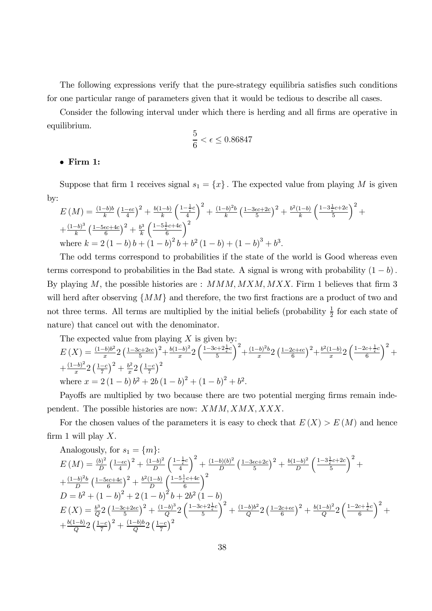The following expressions verify that the pure-strategy equilibria satisfies such conditions for one particular range of parameters given that it would be tedious to describe all cases.

Consider the following interval under which there is herding and all firms are operative in equilibrium.

$$
\frac{5}{6} < \epsilon \le 0.86847
$$

#### • Firm 1:

Suppose that firm 1 receives signal  $s_1 = \{x\}$ . The expected value from playing M is given by:

$$
E(M) = \frac{(1-b)b}{k} \left(\frac{1-\epsilon c}{4}\right)^2 + \frac{b(1-b)}{k} \left(\frac{1-\frac{1}{\epsilon}c}{4}\right)^2 + \frac{(1-b)^2b}{k} \left(\frac{1-3\epsilon c+2c}{5}\right)^2 + \frac{b^2(1-b)}{k} \left(\frac{1-3\frac{1}{\epsilon}c+2c}{5}\right)^2 + \frac{(1-b)^3}{k} \left(\frac{1-5\epsilon c+4c}{6}\right)^2 + \frac{b^3}{k} \left(\frac{1-5\frac{1}{\epsilon}c+4c}{6}\right)^2 + \frac{b^3}{k} \left(\frac{1-5\frac{1}{\epsilon}c+4c}{6}\right)^2 + \frac{b^3}{k} \left(\frac{1-b}{6}\right)^2 + \frac{b^2(1-b)}{k} \left(\frac{1-b}{6}\right)^2 + \frac{b^2(1-b)}{k} \left(\frac{1-3\frac{1}{\epsilon}c+2c}{5}\right)^2 + \frac{b^3(1-b)}{k} \left(\frac{1-b}{6}\right)^2 + \frac{b^2(1-b)}{k} \left(\frac{1-b}{6}\right)^2 + \frac{b^2(1-b)}{k} \left(\frac{1-3\frac{1}{\epsilon}c+2c}{5}\right)^2 + \frac{b^2(1-b)}{k} \left(\frac{1-3\frac{1}{\epsilon}c+2c}{5}\right)^2 + \frac{b^3(1-b)}{k} \left(\frac{1-3\frac{1}{\epsilon}c+2c}{5}\right)^2 + \frac{b^2(1-b)}{k} \left(\frac{1-3\frac{1}{\epsilon}c+2c}{5}\right)^2 + \frac{b^2(1-b)}{k} \left(\frac{1-3\frac{1}{\epsilon}c+2c}{5}\right)^2 + \frac{b^2(1-b)}{k} \left(\frac{1-3\frac{1}{\epsilon}c+2c}{5}\right)^2 + \frac{b^3(1-b)}{k} \left(\frac{1-3\frac{1}{\epsilon}c+4c}{5}\right)^2 + \frac{b^2(1-b)}{k} \left(\frac{1-3\frac{1}{\epsilon}c+4c}{5}\right)^2 + \frac{b^3(1-b)}{k} \left(\frac{1-3\frac{1}{\epsilon}c+4c}{5}\right)^2 + \frac{b^2(1-b)}{k} \left(\frac{
$$

The odd terms correspond to probabilities if the state of the world is Good whereas even terms correspond to probabilities in the Bad state. A signal is wrong with probability  $(1 - b)$ . By playing M, the possible histories are :  $MMM, MXM, MXX$ . Firm 1 believes that firm 3 will herd after observing  $\{MM\}$  and therefore, the two first fractions are a product of two and not three terms. All terms are multiplied by the initial beliefs (probability  $\frac{1}{2}$ )  $\frac{1}{2}$  for each state of nature) that cancel out with the denominator.

The expected value from playing X is given by:  
\n
$$
E(X) = \frac{(1-b)b^2}{x} 2 \left(\frac{1-3c+2\epsilon c}{5}\right)^2 + \frac{b(1-b)^2}{x} 2 \left(\frac{1-3c+2\frac{1}{\epsilon}c}{5}\right)^2 + \frac{(1-b)^2 b}{x} 2 \left(\frac{1-2c+\epsilon c}{6}\right)^2 + \frac{b^2(1-b)}{x} 2 \left(\frac{1-2c+\frac{1}{\epsilon}c}{6}\right)^2 + \frac{(1-b)^2}{x} 2 \left(\frac{1-c}{7}\right)^2 + \frac{b^2}{x} 2 \left(\frac{1-c}{7}\right)^2
$$
\nwhere  $x = 2(1-b)b^2 + 2b(1-b)^2 + (1-b)^2 + b^2$ .

Payoffs are multiplied by two because there are two potential merging firms remain independent. The possible histories are now:  $XMM, XMX, XXX$ .

For the chosen values of the parameters it is easy to check that  $E(X) > E(M)$  and hence firm 1 will play  $X$ .

Analogously, for 
$$
s_1 = \{m\}
$$
:  
\n
$$
E(M) = \frac{(b)^2}{D} \left(\frac{1-\epsilon c}{4}\right)^2 + \frac{(1-b)^2}{D} \left(\frac{1-\frac{1}{\epsilon}c}{4}\right)^2 + \frac{(1-b)(b)^2}{D} \left(\frac{1-3\epsilon c+2c}{5}\right)^2 + \frac{b(1-b)^2}{D} \left(\frac{1-3\frac{1}{\epsilon}c+2c}{5}\right)^2 + \frac{(1-b)^2b}{D} \left(\frac{1-5\epsilon c+4c}{6}\right)^2 + \frac{b^2(1-b)}{D} \left(\frac{1-5\frac{1}{\epsilon}c+4c}{6}\right)^2
$$
\n
$$
D = b^2 + (1-b)^2 + 2(1-b)^2b + 2b^2(1-b)
$$
\n
$$
E(X) = \frac{b^3}{Q} 2 \left(\frac{1-3c+2\epsilon c}{5}\right)^2 + \frac{(1-b)^3}{Q} 2 \left(\frac{1-3c+2\frac{1}{\epsilon}c}{5}\right)^2 + \frac{(1-b)b^2}{Q} 2 \left(\frac{1-2c+\epsilon c}{6}\right)^2 + \frac{b(1-b)^2}{Q} 2 \left(\frac{1-2c+\frac{1}{\epsilon}c}{6}\right)^2 + \frac{b(1-b)^2}{Q} 2 \left(\frac{1-2c}{6}\right)^2 + \frac{(1-b)b^2}{Q} 2 \left(\frac{1-c}{7}\right)^2 + \frac{(1-b)b^2}{Q} 2 \left(\frac{1-c}{7}\right)^2
$$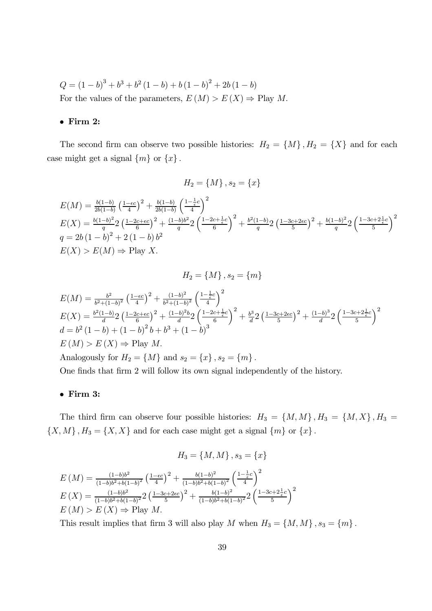$Q = (1-b)^3 + b^3 + b^2(1-b) + b(1-b)^2 + 2b(1-b)$ For the values of the parameters,  $E(M) > E(X) \Rightarrow$  Play M.

#### $\bullet$  Firm 2:

The second firm can observe two possible histories:  $H_2 = \{M\}, H_2 = \{X\}$  and for each case might get a signal  $\{m\}$  or  $\{x\}$ .

$$
H_2 = \{M\}, s_2 = \{x\}
$$

$$
E(M) = \frac{b(1-b)}{2b(1-b)} \left(\frac{1-\epsilon c}{4}\right)^2 + \frac{b(1-b)}{2b(1-b)} \left(\frac{1-\frac{1}{\epsilon}c}{4}\right)^2
$$
  
\n
$$
E(X) = \frac{b(1-b)^2}{q} 2 \left(\frac{1-2c+\epsilon c}{6}\right)^2 + \frac{(1-b)b^2}{q} 2 \left(\frac{1-2c+\frac{1}{\epsilon}c}{6}\right)^2 + \frac{b^2(1-b)}{q} 2 \left(\frac{1-3c+2\epsilon c}{5}\right)^2 + \frac{b(1-b)^2}{q} 2 \left(\frac{1-3c+2\frac{1}{\epsilon}c}{5}\right)^2
$$
  
\n
$$
E(X) > E(M) \Rightarrow \text{Play } X.
$$

$$
H_2 = \{M\}, s_2 = \{m\}
$$

$$
E(M) = \frac{b^2}{b^2 + (1 - b)^2} \left(\frac{1 - \epsilon c}{4}\right)^2 + \frac{(1 - b)^2}{b^2 + (1 - b)^2} \left(\frac{1 - \frac{1}{\epsilon}c}{4}\right)^2
$$
  
\n
$$
E(X) = \frac{b^2(1 - b)}{d} 2 \left(\frac{1 - 2c + \epsilon c}{6}\right)^2 + \frac{(1 - b)^2 b}{d} 2 \left(\frac{1 - 2c + \frac{1}{\epsilon}c}{6}\right)^2 + \frac{b^3}{d} 2 \left(\frac{1 - 3c + 2\epsilon c}{5}\right)^2 + \frac{(1 - b)^3}{d} 2 \left(\frac{1 - 3c + 2\frac{1}{\epsilon}c}{5}\right)^2
$$
  
\n
$$
d = b^2 (1 - b) + (1 - b)^2 b + b^3 + (1 - b)^3
$$
  
\n
$$
E(M) > E(X) \Rightarrow \text{Play } M.
$$
  
\nAnalogously for  $H_2 = \{M\}$  and  $s_2 = \{x\}$ ,  $s_2 = \{m\}$ .

One finds that firm 2 will follow its own signal independently of the history.

## $\bullet$  Firm 3:

The third firm can observe four possible histories:  $H_3 = \{M, M\}$ ,  $H_3 = \{M, X\}$ ,  $H_3 =$  $\{X, M\}$ ,  $H_3 = \{X, X\}$  and for each case might get a signal  $\{m\}$  or  $\{x\}$ .

$$
H_3 = \{M, M\}, s_3 = \{x\}
$$

$$
E(M) = \frac{(1-b)b^2}{(1-b)b^2 + b(1-b)^2} \left(\frac{1-\epsilon c}{4}\right)^2 + \frac{b(1-b)^2}{(1-b)b^2 + b(1-b)^2} \left(\frac{1-\frac{1}{\epsilon}c}{4}\right)^2
$$
  
\n
$$
E(X) = \frac{(1-b)b^2}{(1-b)b^2 + b(1-b)^2} 2 \left(\frac{1-3c+2\epsilon c}{5}\right)^2 + \frac{b(1-b)^2}{(1-b)b^2 + b(1-b)^2} 2 \left(\frac{1-3c+2\frac{1}{\epsilon}c}{5}\right)^2
$$
  
\n
$$
E(M) > E(X) \Rightarrow \text{Play } M.
$$

This result implies that firm 3 will also play M when  $H_3 = \{M, M\}$ ,  $s_3 = \{m\}$ .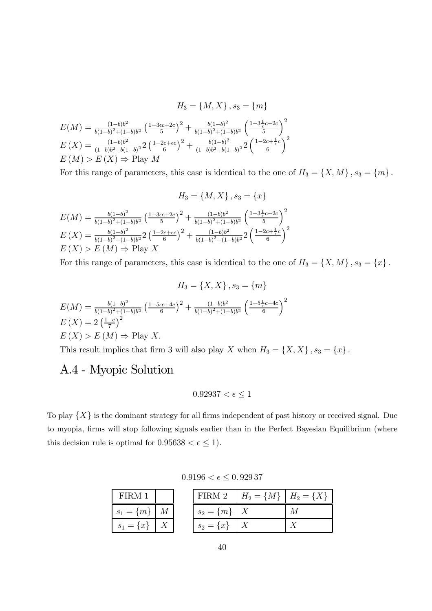$$
H_3 = \{M, X\}, s_3 = \{m\}
$$

$$
E(M) = \frac{(1-b)b^2}{b(1-b)^2 + (1-b)b^2} \left(\frac{1-3\epsilon c + 2c}{5}\right)^2 + \frac{b(1-b)^2}{b(1-b)^2 + (1-b)b^2} \left(\frac{1-3\frac{1}{\epsilon}c + 2c}{5}\right)^2
$$

$$
E(X) = \frac{(1-b)b^2}{(1-b)b^2 + b(1-b)^2} 2\left(\frac{1-2c+\epsilon c}{6}\right)^2 + \frac{b(1-b)^2}{(1-b)b^2 + b(1-b)^2} 2\left(\frac{1-2c+\frac{1}{\epsilon}c}{6}\right)^2
$$

$$
E(M) > E(X) \Rightarrow \text{Play } M
$$

For this range of parameters, this case is identical to the one of  $H_3 = \{X, M\}$ ,  $s_3 = \{m\}$ .

$$
H_3 = \{M, X\}, s_3 = \{x\}
$$

$$
E(M) = \frac{b(1-b)^2}{b(1-b)^2 + (1-b)b^2} \left(\frac{1-3\epsilon c + 2c}{5}\right)^2 + \frac{(1-b)^2}{b(1-b)^2 + (1-b)b^2} \left(\frac{1-3\frac{1}{\epsilon}c + 2c}{5}\right)^2
$$

$$
E(X) = \frac{b(1-b)^2}{b(1-b)^2 + (1-b)b^2} 2\left(\frac{1-2c+\epsilon c}{6}\right)^2 + \frac{(1-b)^2}{b(1-b)^2 + (1-b)b^2} 2\left(\frac{1-2c+\frac{1}{\epsilon}c}{6}\right)^2
$$

$$
E(X) > E(M) \Rightarrow \text{Play } X
$$

For this range of parameters, this case is identical to the one of  $H_3 = \{X, M\}$ ,  $s_3 = \{x\}$ .

$$
H_3 = \{X, X\}, s_3 = \{m\}
$$
  
\n
$$
E(M) = \frac{b(1-b)^2}{b(1-b)^2 + (1-b)b^2} \left(\frac{1-5\epsilon c + 4c}{6}\right)^2 + \frac{(1-b)b^2}{b(1-b)^2 + (1-b)b^2} \left(\frac{1-5\frac{1}{\epsilon}c + 4c}{6}\right)^2
$$
  
\n
$$
E(X) = 2\left(\frac{1-c}{7}\right)^2
$$
  
\n
$$
E(X) > E(M) \Rightarrow \text{Play } X.
$$

This result implies that firm 3 will also play X when  $H_3 = \{X, X\}$ ,  $s_3 = \{x\}$ .

# A.4 - Myopic Solution

$$
0.92937 < \epsilon \le 1
$$

To play  $\{X\}$  is the dominant strategy for all firms independent of past history or received signal. Due to myopia, firms will stop following signals earlier than in the Perfect Bayesian Equilibrium (where this decision rule is optimal for  $0.95638 < \epsilon \leq 1$ .

 $0.9196 < \epsilon \leq 0.92937$ 

| FIRM 1               |  |                   | FIRM 2   $H_2 = \{M\}$   $H_2 = \{X\}$ |  |
|----------------------|--|-------------------|----------------------------------------|--|
| $s_1 = \{m\} \mid M$ |  | $s_2 = \{m\}$   X |                                        |  |
| $s_1 = \{x\}$   X    |  | $s_2 = \{x\}$   X |                                        |  |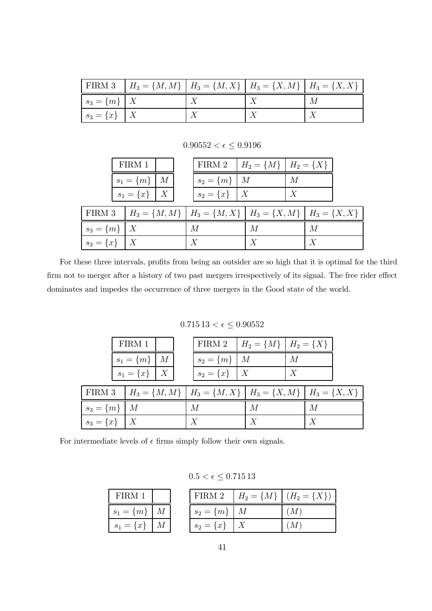|                   | FIRM 3   $H_3 = \{M, M\}$   $H_3 = \{M, X\}$   $H_3 = \{X, M\}$   $H_3 = \{X, X\}$ |  |   |
|-------------------|------------------------------------------------------------------------------------|--|---|
| $s_3 = \{m\}$   X |                                                                                    |  | М |
| $s_3 = \{x\}$   X |                                                                                    |  |   |

 $0.90552<\epsilon\leq0.9196$ 

|                      | FIRM 1               |  | FIRM 2   $H_2 = \{M\}$   $H_2 = \{X\}$                                     |   |   |   |  |
|----------------------|----------------------|--|----------------------------------------------------------------------------|---|---|---|--|
|                      | $s_1 = \{m\} \mid M$ |  | $s_2 = \{m\}$   M                                                          |   | M |   |  |
|                      | $s_1 = \{x\}$   X    |  | $s_2 = \{x\}$   X                                                          |   | X |   |  |
|                      |                      |  | FIRM 3 $H_3 = \{M, M\}$ $H_3 = \{M, X\}$ $H_3 = \{X, M\}$ $H_3 = \{X, X\}$ |   |   |   |  |
| $s_3 = \{m\} \mid X$ |                      |  | М                                                                          | M |   | М |  |
| $s_3 = \{x\}$   X    |                      |  | X                                                                          | Y |   | X |  |

For these three intervals, profits from being an outsider are so high that it is optimal for the third firm not to merger after a history of two past mergers irrespectively of its signal. The free rider effect dominates and impedes the occurrence of three mergers in the Good state of the world.

 $0.715\,13<\epsilon\leq0.90552$ 

|                   | FIRM 1            |  | FIRM 2   $H_2 = \{M\}$   $H_2 = \{X\}$                                    |   |   |   |  |
|-------------------|-------------------|--|---------------------------------------------------------------------------|---|---|---|--|
|                   | $s_1 = \{m\}$   M |  | $s_2 = \{m\}$   M                                                         |   | M |   |  |
|                   | $s_1 = \{x\}$   X |  | $s_2 = \{x\}$   X                                                         |   | X |   |  |
| FIRM 3            |                   |  | $H_3 = \{M, M\}$   $H_3 = \{M, X\}$   $H_3 = \{X, M\}$   $H_3 = \{X, X\}$ |   |   |   |  |
| $s_3 = \{m\}$   M |                   |  | M                                                                         | M |   | M |  |
| $s_3 = \{x\}$   X |                   |  |                                                                           |   |   |   |  |

For intermediate levels of  $\epsilon$  firms simply follow their own signals.

| FIRM 1                           |    |
|----------------------------------|----|
| $\{m\}$<br>S <sub>1</sub><br>$=$ | М  |
| $\{x\}$<br>S <sub>1</sub><br>$=$ | VI |

| $0.5 < \epsilon \leq 0.71513$ |  |  |  |
|-------------------------------|--|--|--|
|                               |  |  |  |

|                   | FIRM 2   $H_2 = \{M\}$   $(H_2 = \{X\})$ |
|-------------------|------------------------------------------|
| $s_2 = \{m\}$   M | (M)                                      |
| $s_2 = \{x\}$     | (M)                                      |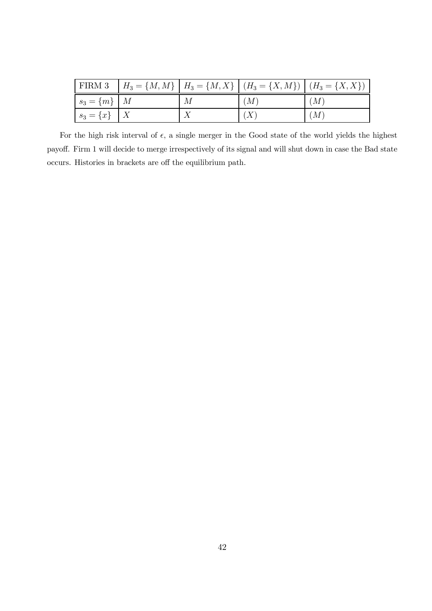|                           |   | FIRM 3   $H_3 = \{M, M\}$   $H_3 = \{M, X\}$   $(H_3 = \{X, M\})$   $(H_3 = \{X, X\})$ |     |
|---------------------------|---|----------------------------------------------------------------------------------------|-----|
| $\mid s_3 = \{m\} \mid M$ | М | (M)                                                                                    | (M) |
| $s_3 = \{x\}$   X         |   |                                                                                        | (M) |

For the high risk interval of  $\epsilon$ , a single merger in the Good state of the world yields the highest payoff. Firm 1 will decide to merge irrespectively of its signal and will shut down in case the Bad state occurs. Histories in brackets are off the equilibrium path.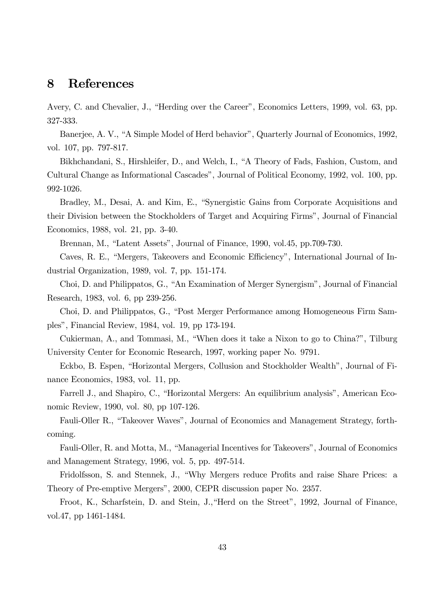# 8 References

Avery, C. and Chevalier, J., "Herding over the Career", Economics Letters, 1999, vol. 63, pp. 327-333.

Banerjee, A. V., "A Simple Model of Herd behavior", Quarterly Journal of Economics, 1992, vol. 107, pp. 797-817.

Bikhchandani, S., Hirshleifer, D., and Welch, I., "A Theory of Fads, Fashion, Custom, and Cultural Change as Informational Cascades", Journal of Political Economy, 1992, vol. 100, pp. 992-1026.

Bradley, M., Desai, A. and Kim, E., "Synergistic Gains from Corporate Acquisitions and their Division between the Stockholders of Target and Acquiring Firms", Journal of Financial Economics, 1988, vol. 21, pp. 3-40.

Brennan, M., "Latent Assets", Journal of Finance, 1990, vol.45, pp.709-730.

Caves, R. E., "Mergers, Takeovers and Economic Efficiency", International Journal of Industrial Organization, 1989, vol. 7, pp. 151-174.

Choi, D. and Philippatos, G., "An Examination of Merger Synergism", Journal of Financial Research, 1983, vol. 6, pp 239-256.

Choi, D. and Philippatos, G., "Post Merger Performance among Homogeneous Firm Samples", Financial Review, 1984, vol. 19, pp 173-194.

Cukierman, A., and Tommasi, M., "When does it take a Nixon to go to China?", Tilburg University Center for Economic Research, 1997, working paper No. 9791.

Eckbo, B. Espen, "Horizontal Mergers, Collusion and Stockholder Wealth", Journal of Finance Economics, 1983, vol. 11, pp.

Farrell J., and Shapiro, C., "Horizontal Mergers: An equilibrium analysis", American Economic Review, 1990, vol. 80, pp 107-126.

Fauli-Oller R., "Takeover Waves", Journal of Economics and Management Strategy, forthcoming.

Fauli-Oller, R. and Motta, M., "Managerial Incentives for Takeovers", Journal of Economics and Management Strategy, 1996, vol. 5, pp. 497-514.

Fridolfsson, S. and Stennek, J., "Why Mergers reduce Profits and raise Share Prices: a Theory of Pre-emptive Mergers", 2000, CEPR discussion paper No. 2357.

Froot, K., Scharfstein, D. and Stein, J.,"Herd on the Street", 1992, Journal of Finance, vol.47, pp 1461-1484.